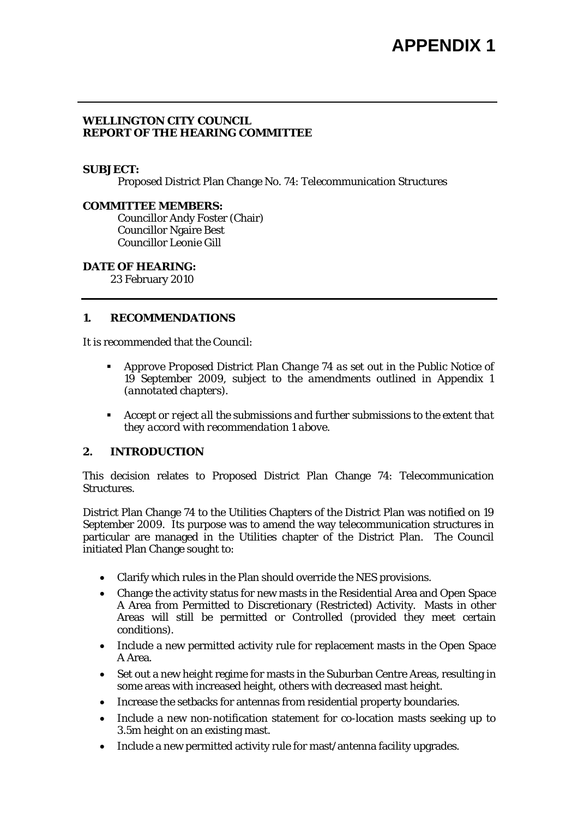## **WELLINGTON CITY COUNCIL REPORT OF THE HEARING COMMITTEE**

#### **SUBJECT:**

Proposed District Plan Change No. 74: Telecommunication Structures

#### **COMMITTEE MEMBERS:**

Councillor Andy Foster (Chair) Councillor Ngaire Best Councillor Leonie Gill

## **DATE OF HEARING:**

23 February 2010

## **1. RECOMMENDATIONS**

It is recommended that the Council:

- *Approve Proposed District Plan Change 74 as set out in the Public Notice of 19 September 2009, subject to the amendments outlined in Appendix 1 (annotated chapters).*
- *Accept or reject all the submissions and further submissions to the extent that they accord with recommendation 1 above.*

## **2. INTRODUCTION**

This decision relates to Proposed District Plan Change 74: Telecommunication Structures.

District Plan Change 74 to the Utilities Chapters of the District Plan was notified on 19 September 2009. Its purpose was to amend the way telecommunication structures in particular are managed in the Utilities chapter of the District Plan. The Council initiated Plan Change sought to:

- Clarify which rules in the Plan should override the NES provisions.
- Change the activity status for new masts in the Residential Area and Open Space A Area from Permitted to Discretionary (Restricted) Activity. Masts in other Areas will still be permitted or Controlled (provided they meet certain conditions).
- Include a new permitted activity rule for replacement masts in the Open Space A Area.
- Set out a new height regime for masts in the Suburban Centre Areas, resulting in some areas with increased height, others with decreased mast height.
- Increase the setbacks for antennas from residential property boundaries.
- Include a new non-notification statement for co-location masts seeking up to 3.5m height on an existing mast.
- Include a new permitted activity rule for mast/antenna facility upgrades.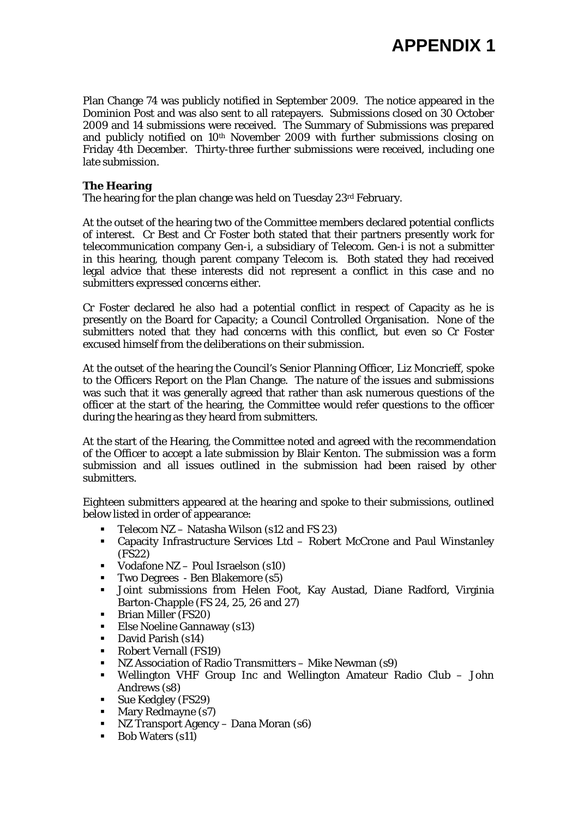Plan Change 74 was publicly notified in September 2009. The notice appeared in the Dominion Post and was also sent to all ratepayers. Submissions closed on 30 October 2009 and 14 submissions were received. The Summary of Submissions was prepared and publicly notified on 10th November 2009 with further submissions closing on Friday 4th December. Thirty-three further submissions were received, including one late submission.

## **The Hearing**

The hearing for the plan change was held on Tuesday 23<sup>rd</sup> February.

At the outset of the hearing two of the Committee members declared potential conflicts of interest. Cr Best and Cr Foster both stated that their partners presently work for telecommunication company Gen-i, a subsidiary of Telecom. Gen-i is not a submitter in this hearing, though parent company Telecom is. Both stated they had received legal advice that these interests did not represent a conflict in this case and no submitters expressed concerns either.

Cr Foster declared he also had a potential conflict in respect of Capacity as he is presently on the Board for Capacity; a Council Controlled Organisation. None of the submitters noted that they had concerns with this conflict, but even so Cr Foster excused himself from the deliberations on their submission.

At the outset of the hearing the Council's Senior Planning Officer, Liz Moncrieff, spoke to the Officers Report on the Plan Change. The nature of the issues and submissions was such that it was generally agreed that rather than ask numerous questions of the officer at the start of the hearing, the Committee would refer questions to the officer during the hearing as they heard from submitters.

At the start of the Hearing, the Committee noted and agreed with the recommendation of the Officer to accept a late submission by Blair Kenton. The submission was a form submission and all issues outlined in the submission had been raised by other submitters.

Eighteen submitters appeared at the hearing and spoke to their submissions, outlined below listed in order of appearance:

- Telecom NZ Natasha Wilson (s12 and FS 23)
- Capacity Infrastructure Services Ltd Robert McCrone and Paul Winstanley (FS22)
- Vodafone NZ Poul Israelson (s10)
- Two Degrees Ben Blakemore (s5)
- Joint submissions from Helen Foot, Kay Austad, Diane Radford, Virginia Barton-Chapple (FS 24, 25, 26 and 27)
- **Brian Miller (FS20)**
- Else Noeline Gannaway (s13)
- **David Parish (s14)**
- Robert Vernall (FS19)
- NZ Association of Radio Transmitters Mike Newman (s9)
- Wellington VHF Group Inc and Wellington Amateur Radio Club John Andrews (s8)
- **Sue Kedgley (FS29)**
- **Mary Redmayne (s7)**
- NZ Transport Agency Dana Moran (s6)
- **Bob Waters (s11)**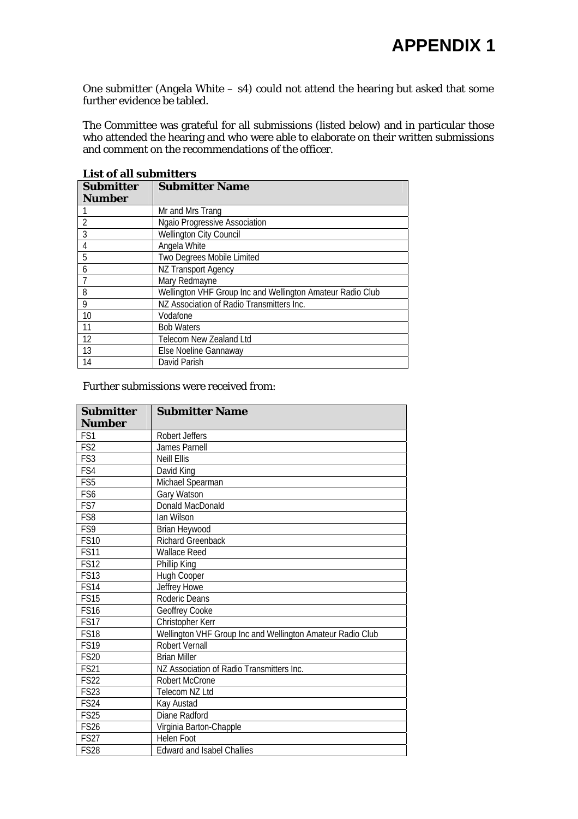One submitter (Angela White – s4) could not attend the hearing but asked that some further evidence be tabled.

The Committee was grateful for all submissions (listed below) and in particular those who attended the hearing and who were able to elaborate on their written submissions and comment on the recommendations of the officer.

| List of an submitters |                                                            |  |
|-----------------------|------------------------------------------------------------|--|
| <b>Submitter</b>      | <b>Submitter Name</b>                                      |  |
| <b>Number</b>         |                                                            |  |
|                       | Mr and Mrs Trang                                           |  |
| $\overline{2}$        | Ngaio Progressive Association                              |  |
| 3                     | <b>Wellington City Council</b>                             |  |
| $\overline{4}$        | Angela White                                               |  |
| 5                     | Two Degrees Mobile Limited                                 |  |
| 6                     | <b>NZ Transport Agency</b>                                 |  |
|                       | Mary Redmayne                                              |  |
| 8                     | Wellington VHF Group Inc and Wellington Amateur Radio Club |  |
| 9                     | NZ Association of Radio Transmitters Inc.                  |  |
| 10                    | Vodafone                                                   |  |
| 11                    | <b>Bob Waters</b>                                          |  |
| 12                    | Telecom New Zealand Ltd                                    |  |
| 13                    | Else Noeline Gannaway                                      |  |
| 14                    | David Parish                                               |  |

**List of all submitters** 

#### Further submissions were received from:

| <b>Submitter</b> | <b>Submitter Name</b>                                      |
|------------------|------------------------------------------------------------|
| <b>Number</b>    |                                                            |
| FS1              | Robert Jeffers                                             |
| FS <sub>2</sub>  | James Parnell                                              |
| FS <sub>3</sub>  | <b>Neill Ellis</b>                                         |
| FS4              | David King                                                 |
| FS <sub>5</sub>  | Michael Spearman                                           |
| FS <sub>6</sub>  | Gary Watson                                                |
| FS7              | Donald MacDonald                                           |
| FS8              | lan Wilson                                                 |
| FS9              | Brian Heywood                                              |
| <b>FS10</b>      | <b>Richard Greenback</b>                                   |
| <b>FS11</b>      | <b>Wallace Reed</b>                                        |
| <b>FS12</b>      | Phillip King                                               |
| <b>FS13</b>      | Hugh Cooper                                                |
| <b>FS14</b>      | Jeffrey Howe                                               |
| FS15             | Roderic Deans                                              |
| <b>FS16</b>      | Geoffrey Cooke                                             |
| <b>FS17</b>      | Christopher Kerr                                           |
| <b>FS18</b>      | Wellington VHF Group Inc and Wellington Amateur Radio Club |
| <b>FS19</b>      | <b>Robert Vernall</b>                                      |
| <b>FS20</b>      | <b>Brian Miller</b>                                        |
| <b>FS21</b>      | NZ Association of Radio Transmitters Inc.                  |
| <b>FS22</b>      | <b>Robert McCrone</b>                                      |
| <b>FS23</b>      | Telecom NZ Ltd                                             |
| <b>FS24</b>      | Kay Austad                                                 |
| <b>FS25</b>      | Diane Radford                                              |
| <b>FS26</b>      | Virginia Barton-Chapple                                    |
| <b>FS27</b>      | Helen Foot                                                 |
| <b>FS28</b>      | <b>Edward and Isabel Challies</b>                          |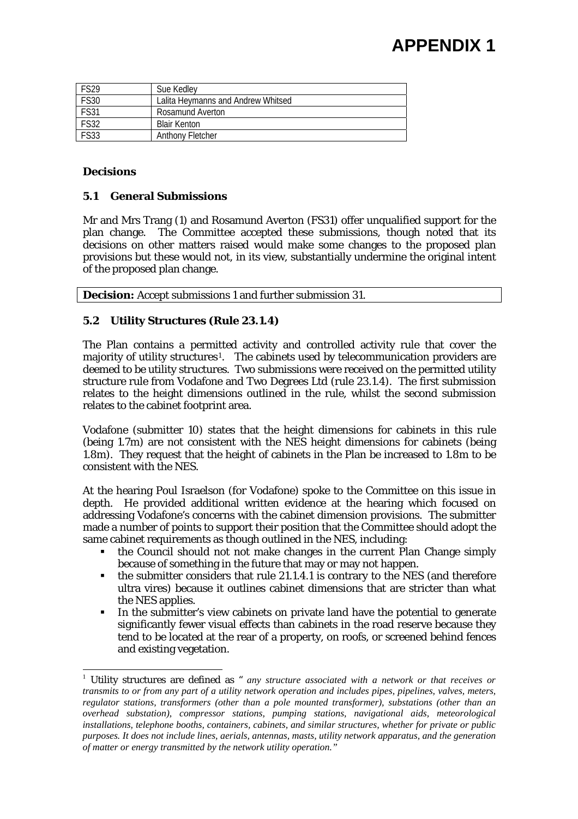# **APPENDIX 1**

| <b>FS29</b> | Sue Kedley                         |
|-------------|------------------------------------|
| <b>FS30</b> | Lalita Heymanns and Andrew Whitsed |
| <b>FS31</b> | Rosamund Averton                   |
| <b>FS32</b> | <b>Blair Kenton</b>                |
| <b>FS33</b> | Anthony Fletcher                   |

## **Decisions**

l

## **5.1 General Submissions**

Mr and Mrs Trang (1) and Rosamund Averton (FS31) offer unqualified support for the plan change. The Committee accepted these submissions, though noted that its decisions on other matters raised would make some changes to the proposed plan provisions but these would not, in its view, substantially undermine the original intent of the proposed plan change.

**Decision:** Accept submissions 1 and further submission 31.

## **5.2 Utility Structures (Rule 23.1.4)**

The Plan contains a permitted activity and controlled activity rule that cover the majority of utility structures[1](#page-3-0). The cabinets used by telecommunication providers are deemed to be utility structures. Two submissions were received on the permitted utility structure rule from Vodafone and Two Degrees Ltd (rule 23.1.4). The first submission relates to the height dimensions outlined in the rule, whilst the second submission relates to the cabinet footprint area.

Vodafone (submitter 10) states that the height dimensions for cabinets in this rule (being 1.7m) are not consistent with the NES height dimensions for cabinets (being 1.8m). They request that the height of cabinets in the Plan be increased to 1.8m to be consistent with the NES.

At the hearing Poul Israelson (for Vodafone) spoke to the Committee on this issue in depth. He provided additional written evidence at the hearing which focused on addressing Vodafone's concerns with the cabinet dimension provisions. The submitter made a number of points to support their position that the Committee should adopt the same cabinet requirements as though outlined in the NES, including:

- the Council should not not make changes in the current Plan Change simply because of something in the future that may or may not happen.
- the submitter considers that rule 21.1.4.1 is contrary to the NES (and therefore ultra vires) because it outlines cabinet dimensions that are stricter than what the NES applies.
- In the submitter's view cabinets on private land have the potential to generate significantly fewer visual effects than cabinets in the road reserve because they tend to be located at the rear of a property, on roofs, or screened behind fences and existing vegetation.

<span id="page-3-0"></span><sup>1</sup> Utility structures are defined as " *any structure associated with a network or that receives or transmits to or from any part of a utility network operation and includes pipes, pipelines, valves, meters, regulator stations, transformers (other than a pole mounted transformer), substations (other than an overhead substation), compressor stations, pumping stations, navigational aids, meteorological installations, telephone booths, containers, cabinets, and similar structures, whether for private or public purposes. It does not include lines, aerials, antennas, masts, utility network apparatus, and the generation of matter or energy transmitted by the network utility operation."*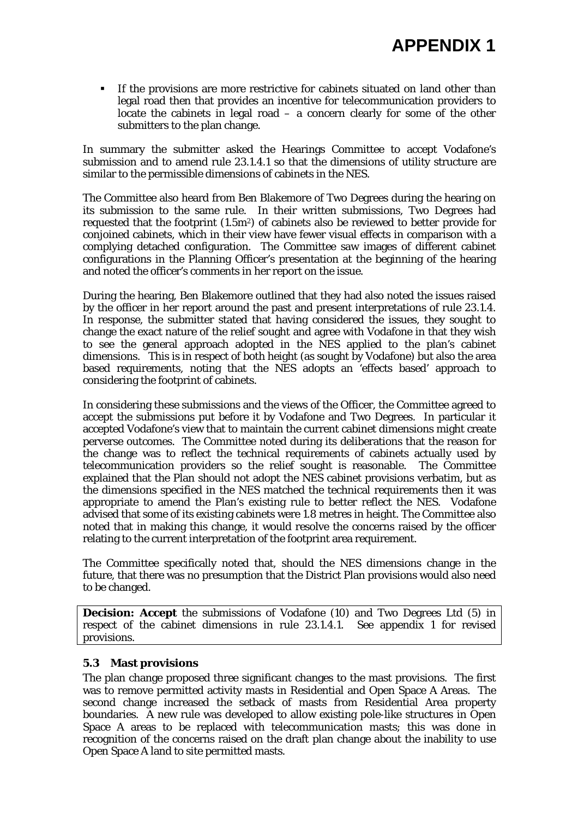If the provisions are more restrictive for cabinets situated on land other than legal road then that provides an incentive for telecommunication providers to locate the cabinets in legal road  $-$  a concern clearly for some of the other submitters to the plan change.

In summary the submitter asked the Hearings Committee to accept Vodafone's submission and to amend rule 23.1.4.1 so that the dimensions of utility structure are similar to the permissible dimensions of cabinets in the NES.

The Committee also heard from Ben Blakemore of Two Degrees during the hearing on its submission to the same rule. In their written submissions, Two Degrees had requested that the footprint (1.5m2) of cabinets also be reviewed to better provide for conjoined cabinets, which in their view have fewer visual effects in comparison with a complying detached configuration. The Committee saw images of different cabinet configurations in the Planning Officer's presentation at the beginning of the hearing and noted the officer's comments in her report on the issue.

During the hearing, Ben Blakemore outlined that they had also noted the issues raised by the officer in her report around the past and present interpretations of rule 23.1.4. In response, the submitter stated that having considered the issues, they sought to change the exact nature of the relief sought and agree with Vodafone in that they wish to see the general approach adopted in the NES applied to the plan's cabinet dimensions. This is in respect of both height (as sought by Vodafone) but also the area based requirements, noting that the NES adopts an 'effects based' approach to considering the footprint of cabinets.

In considering these submissions and the views of the Officer, the Committee agreed to accept the submissions put before it by Vodafone and Two Degrees. In particular it accepted Vodafone's view that to maintain the current cabinet dimensions might create perverse outcomes. The Committee noted during its deliberations that the reason for the change was to reflect the technical requirements of cabinets actually used by telecommunication providers so the relief sought is reasonable. The Committee explained that the Plan should not adopt the NES cabinet provisions verbatim, but as the dimensions specified in the NES matched the technical requirements then it was appropriate to amend the Plan's existing rule to better reflect the NES. Vodafone advised that some of its existing cabinets were 1.8 metres in height. The Committee also noted that in making this change, it would resolve the concerns raised by the officer relating to the current interpretation of the footprint area requirement.

The Committee specifically noted that, should the NES dimensions change in the future, that there was no presumption that the District Plan provisions would also need to be changed.

**Decision: Accept** the submissions of Vodafone (10) and Two Degrees Ltd (5) in respect of the cabinet dimensions in rule 23.1.4.1. See appendix 1 for revised provisions.

## **5.3 Mast provisions**

The plan change proposed three significant changes to the mast provisions. The first was to remove permitted activity masts in Residential and Open Space A Areas. The second change increased the setback of masts from Residential Area property boundaries. A new rule was developed to allow existing pole-like structures in Open Space A areas to be replaced with telecommunication masts; this was done in recognition of the concerns raised on the draft plan change about the inability to use Open Space A land to site permitted masts.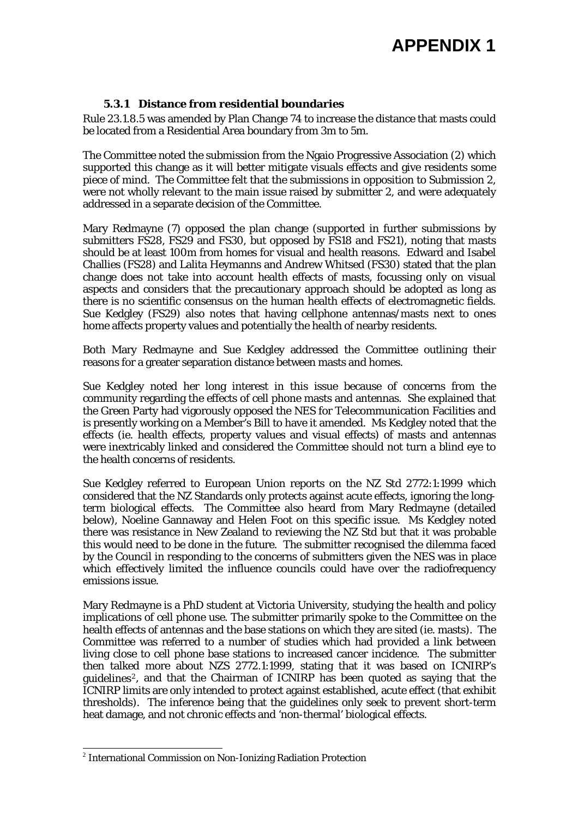## **5.3.1 Distance from residential boundaries**

Rule 23.1.8.5 was amended by Plan Change 74 to increase the distance that masts could be located from a Residential Area boundary from 3m to 5m.

The Committee noted the submission from the Ngaio Progressive Association (2) which supported this change as it will better mitigate visuals effects and give residents some piece of mind. The Committee felt that the submissions in opposition to Submission 2, were not wholly relevant to the main issue raised by submitter 2, and were adequately addressed in a separate decision of the Committee.

Mary Redmayne (7) opposed the plan change (supported in further submissions by submitters FS28, FS29 and FS30, but opposed by FS18 and FS21), noting that masts should be at least 100m from homes for visual and health reasons. Edward and Isabel Challies (FS28) and Lalita Heymanns and Andrew Whitsed (FS30) stated that the plan change does not take into account health effects of masts, focussing only on visual aspects and considers that the precautionary approach should be adopted as long as there is no scientific consensus on the human health effects of electromagnetic fields. Sue Kedgley (FS29) also notes that having cellphone antennas/masts next to ones home affects property values and potentially the health of nearby residents.

Both Mary Redmayne and Sue Kedgley addressed the Committee outlining their reasons for a greater separation distance between masts and homes.

Sue Kedgley noted her long interest in this issue because of concerns from the community regarding the effects of cell phone masts and antennas. She explained that the Green Party had vigorously opposed the NES for Telecommunication Facilities and is presently working on a Member's Bill to have it amended. Ms Kedgley noted that the effects (ie. health effects, property values and visual effects) of masts and antennas were inextricably linked and considered the Committee should not turn a blind eye to the health concerns of residents.

Sue Kedgley referred to European Union reports on the NZ Std 2772:1:1999 which considered that the NZ Standards only protects against acute effects, ignoring the longterm biological effects. The Committee also heard from Mary Redmayne (detailed below), Noeline Gannaway and Helen Foot on this specific issue. Ms Kedgley noted there was resistance in New Zealand to reviewing the NZ Std but that it was probable this would need to be done in the future. The submitter recognised the dilemma faced by the Council in responding to the concerns of submitters given the NES was in place which effectively limited the influence councils could have over the radiofrequency emissions issue.

Mary Redmayne is a PhD student at Victoria University, studying the health and policy implications of cell phone use. The submitter primarily spoke to the Committee on the health effects of antennas and the base stations on which they are sited (ie. masts). The Committee was referred to a number of studies which had provided a link between living close to cell phone base stations to increased cancer incidence. The submitter then talked more about NZS 2772.1:1999, stating that it was based on ICNIRP's guidelines[2](#page-5-0), and that the Chairman of ICNIRP has been quoted as saying that the ICNIRP limits are only intended to protect against established, acute effect (that exhibit thresholds). The inference being that the guidelines only seek to prevent short-term heat damage, and not chronic effects and 'non-thermal' biological effects.

l

<span id="page-5-0"></span> $2$  International Commission on Non-Ionizing Radiation Protection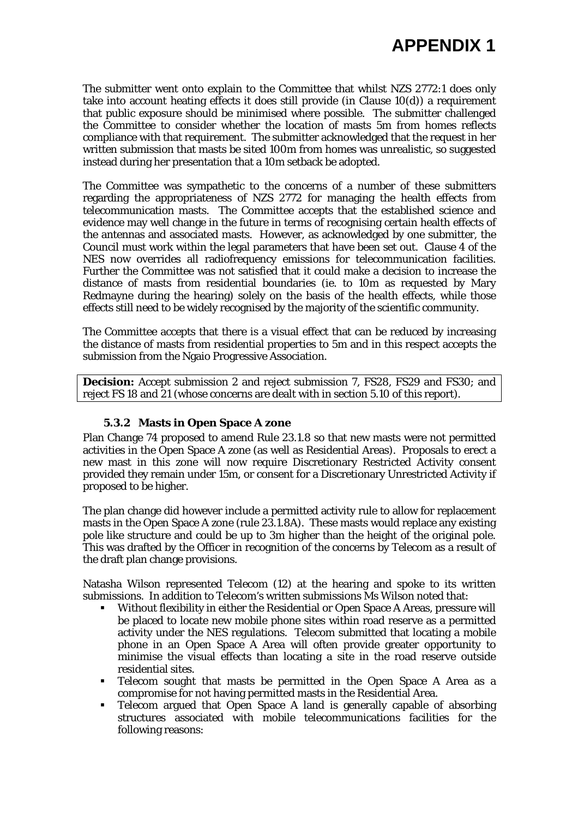The submitter went onto explain to the Committee that whilst NZS 2772:1 does only take into account heating effects it does still provide (in Clause 10(d)) a requirement that public exposure should be minimised where possible. The submitter challenged the Committee to consider whether the location of masts 5m from homes reflects compliance with that requirement. The submitter acknowledged that the request in her written submission that masts be sited 100m from homes was unrealistic, so suggested instead during her presentation that a 10m setback be adopted.

The Committee was sympathetic to the concerns of a number of these submitters regarding the appropriateness of NZS 2772 for managing the health effects from telecommunication masts. The Committee accepts that the established science and evidence may well change in the future in terms of recognising certain health effects of the antennas and associated masts. However, as acknowledged by one submitter, the Council must work within the legal parameters that have been set out. Clause 4 of the NES now overrides all radiofrequency emissions for telecommunication facilities. Further the Committee was not satisfied that it could make a decision to increase the distance of masts from residential boundaries (ie. to 10m as requested by Mary Redmayne during the hearing) solely on the basis of the health effects, while those effects still need to be widely recognised by the majority of the scientific community.

The Committee accepts that there is a visual effect that can be reduced by increasing the distance of masts from residential properties to 5m and in this respect accepts the submission from the Ngaio Progressive Association.

**Decision:** Accept submission 2 and reject submission 7, FS28, FS29 and FS30; and reject FS 18 and 21 (whose concerns are dealt with in section 5.10 of this report).

## **5.3.2 Masts in Open Space A zone**

Plan Change 74 proposed to amend Rule 23.1.8 so that new masts were not permitted activities in the Open Space A zone (as well as Residential Areas). Proposals to erect a new mast in this zone will now require Discretionary Restricted Activity consent provided they remain under 15m, or consent for a Discretionary Unrestricted Activity if proposed to be higher.

The plan change did however include a permitted activity rule to allow for replacement masts in the Open Space A zone (rule 23.1.8A). These masts would replace any existing pole like structure and could be up to 3m higher than the height of the original pole. This was drafted by the Officer in recognition of the concerns by Telecom as a result of the draft plan change provisions.

Natasha Wilson represented Telecom (12) at the hearing and spoke to its written submissions. In addition to Telecom's written submissions Ms Wilson noted that:

- Without flexibility in either the Residential or Open Space A Areas, pressure will be placed to locate new mobile phone sites within road reserve as a permitted activity under the NES regulations. Telecom submitted that locating a mobile phone in an Open Space A Area will often provide greater opportunity to minimise the visual effects than locating a site in the road reserve outside residential sites.
- Telecom sought that masts be permitted in the Open Space A Area as a compromise for not having permitted masts in the Residential Area.
- Telecom argued that Open Space A land is generally capable of absorbing structures associated with mobile telecommunications facilities for the following reasons: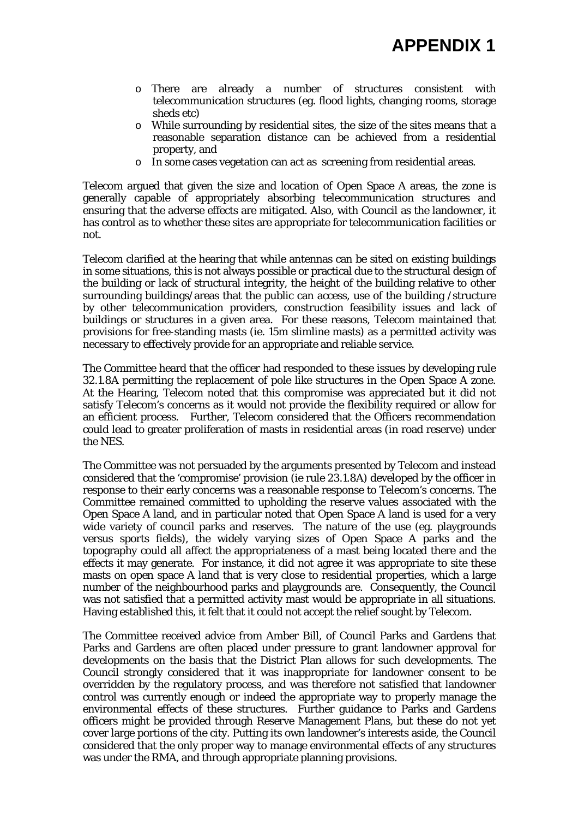- o There are already a number of structures consistent with telecommunication structures (eg. flood lights, changing rooms, storage sheds etc)
- o While surrounding by residential sites, the size of the sites means that a reasonable separation distance can be achieved from a residential property, and
- o In some cases vegetation can act as screening from residential areas.

Telecom argued that given the size and location of Open Space A areas, the zone is generally capable of appropriately absorbing telecommunication structures and ensuring that the adverse effects are mitigated. Also, with Council as the landowner, it has control as to whether these sites are appropriate for telecommunication facilities or not.

Telecom clarified at the hearing that while antennas can be sited on existing buildings in some situations, this is not always possible or practical due to the structural design of the building or lack of structural integrity, the height of the building relative to other surrounding buildings/areas that the public can access, use of the building /structure by other telecommunication providers, construction feasibility issues and lack of buildings or structures in a given area. For these reasons, Telecom maintained that provisions for free-standing masts (ie. 15m slimline masts) as a permitted activity was necessary to effectively provide for an appropriate and reliable service.

The Committee heard that the officer had responded to these issues by developing rule 32.1.8A permitting the replacement of pole like structures in the Open Space A zone. At the Hearing, Telecom noted that this compromise was appreciated but it did not satisfy Telecom's concerns as it would not provide the flexibility required or allow for an efficient process. Further, Telecom considered that the Officers recommendation could lead to greater proliferation of masts in residential areas (in road reserve) under the NES.

The Committee was not persuaded by the arguments presented by Telecom and instead considered that the 'compromise' provision (ie rule 23.1.8A) developed by the officer in response to their early concerns was a reasonable response to Telecom's concerns. The Committee remained committed to upholding the reserve values associated with the Open Space A land, and in particular noted that Open Space A land is used for a very wide variety of council parks and reserves. The nature of the use (eg. playgrounds versus sports fields), the widely varying sizes of Open Space A parks and the topography could all affect the appropriateness of a mast being located there and the effects it may generate. For instance, it did not agree it was appropriate to site these masts on open space A land that is very close to residential properties, which a large number of the neighbourhood parks and playgrounds are. Consequently, the Council was not satisfied that a permitted activity mast would be appropriate in all situations. Having established this, it felt that it could not accept the relief sought by Telecom.

The Committee received advice from Amber Bill, of Council Parks and Gardens that Parks and Gardens are often placed under pressure to grant landowner approval for developments on the basis that the District Plan allows for such developments. The Council strongly considered that it was inappropriate for landowner consent to be overridden by the regulatory process, and was therefore not satisfied that landowner control was currently enough or indeed the appropriate way to properly manage the environmental effects of these structures. Further guidance to Parks and Gardens officers might be provided through Reserve Management Plans, but these do not yet cover large portions of the city. Putting its own landowner's interests aside, the Council considered that the only proper way to manage environmental effects of any structures was under the RMA, and through appropriate planning provisions.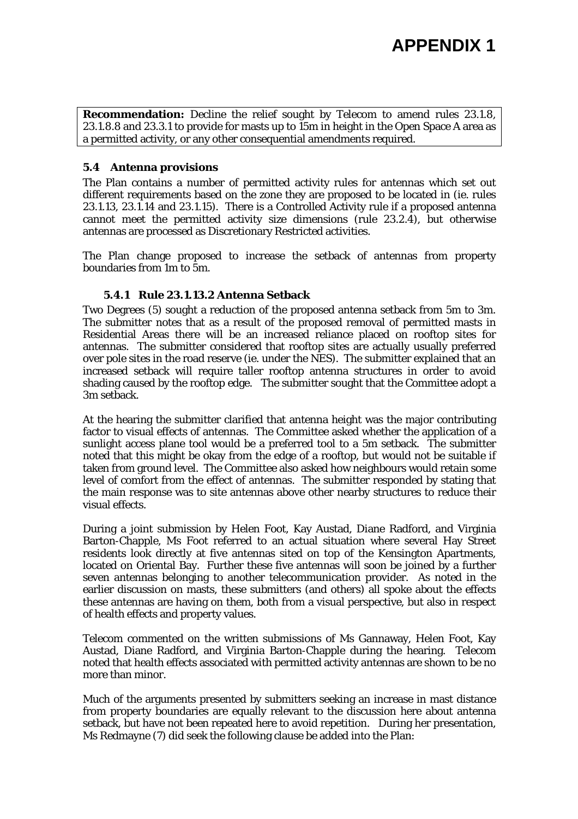**Recommendation:** Decline the relief sought by Telecom to amend rules 23.1.8, 23.1.8.8 and 23.3.1 to provide for masts up to 15m in height in the Open Space A area as a permitted activity, or any other consequential amendments required.

#### **5.4 Antenna provisions**

The Plan contains a number of permitted activity rules for antennas which set out different requirements based on the zone they are proposed to be located in (ie. rules 23.1.13, 23.1.14 and 23.1.15). There is a Controlled Activity rule if a proposed antenna cannot meet the permitted activity size dimensions (rule  $23.2.\overline{4}$ ), but otherwise antennas are processed as Discretionary Restricted activities.

The Plan change proposed to increase the setback of antennas from property boundaries from 1m to 5m.

## **5.4.1 Rule 23.1.13.2 Antenna Setback**

Two Degrees (5) sought a reduction of the proposed antenna setback from 5m to 3m. The submitter notes that as a result of the proposed removal of permitted masts in Residential Areas there will be an increased reliance placed on rooftop sites for antennas. The submitter considered that rooftop sites are actually usually preferred over pole sites in the road reserve (ie. under the NES). The submitter explained that an increased setback will require taller rooftop antenna structures in order to avoid shading caused by the rooftop edge. The submitter sought that the Committee adopt a 3m setback.

At the hearing the submitter clarified that antenna height was the major contributing factor to visual effects of antennas. The Committee asked whether the application of a sunlight access plane tool would be a preferred tool to a 5m setback. The submitter noted that this might be okay from the edge of a rooftop, but would not be suitable if taken from ground level. The Committee also asked how neighbours would retain some level of comfort from the effect of antennas. The submitter responded by stating that the main response was to site antennas above other nearby structures to reduce their visual effects.

During a joint submission by Helen Foot, Kay Austad, Diane Radford, and Virginia Barton-Chapple, Ms Foot referred to an actual situation where several Hay Street residents look directly at five antennas sited on top of the Kensington Apartments, located on Oriental Bay. Further these five antennas will soon be joined by a further seven antennas belonging to another telecommunication provider. As noted in the earlier discussion on masts, these submitters (and others) all spoke about the effects these antennas are having on them, both from a visual perspective, but also in respect of health effects and property values.

Telecom commented on the written submissions of Ms Gannaway, Helen Foot, Kay Austad, Diane Radford, and Virginia Barton-Chapple during the hearing. Telecom noted that health effects associated with permitted activity antennas are shown to be no more than minor.

Much of the arguments presented by submitters seeking an increase in mast distance from property boundaries are equally relevant to the discussion here about antenna setback, but have not been repeated here to avoid repetition. During her presentation, Ms Redmayne (7) did seek the following clause be added into the Plan: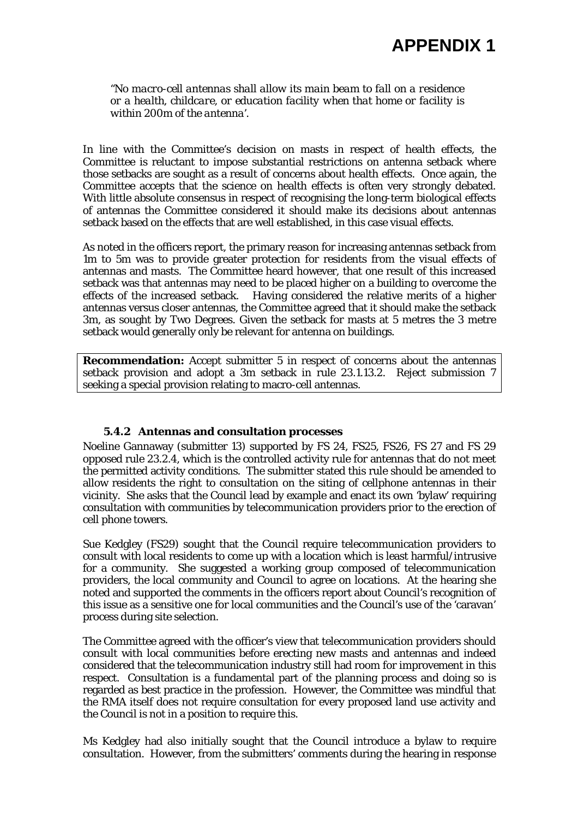## **APPENDIX 1**

*"No macro-cell antennas shall allow its main beam to fall on a residence or a health, childcare, or education facility when that home or facility is within 200m of the antenna'.* 

In line with the Committee's decision on masts in respect of health effects, the Committee is reluctant to impose substantial restrictions on antenna setback where those setbacks are sought as a result of concerns about health effects. Once again, the Committee accepts that the science on health effects is often very strongly debated. With little absolute consensus in respect of recognising the long-term biological effects of antennas the Committee considered it should make its decisions about antennas setback based on the effects that are well established, in this case visual effects.

As noted in the officers report, the primary reason for increasing antennas setback from 1m to 5m was to provide greater protection for residents from the visual effects of antennas and masts. The Committee heard however, that one result of this increased setback was that antennas may need to be placed higher on a building to overcome the effects of the increased setback. Having considered the relative merits of a higher antennas versus closer antennas, the Committee agreed that it should make the setback 3m, as sought by Two Degrees. Given the setback for masts at 5 metres the 3 metre setback would generally only be relevant for antenna on buildings.

**Recommendation:** Accept submitter 5 in respect of concerns about the antennas setback provision and adopt a 3m setback in rule 23.1.13.2. Reject submission 7 seeking a special provision relating to macro-cell antennas.

## **5.4.2 Antennas and consultation processes**

Noeline Gannaway (submitter 13) supported by FS 24, FS25, FS26, FS 27 and FS 29 opposed rule 23.2.4, which is the controlled activity rule for antennas that do not meet the permitted activity conditions. The submitter stated this rule should be amended to allow residents the right to consultation on the siting of cellphone antennas in their vicinity. She asks that the Council lead by example and enact its own 'bylaw' requiring consultation with communities by telecommunication providers prior to the erection of cell phone towers.

Sue Kedgley (FS29) sought that the Council require telecommunication providers to consult with local residents to come up with a location which is least harmful/intrusive for a community. She suggested a working group composed of telecommunication providers, the local community and Council to agree on locations. At the hearing she noted and supported the comments in the officers report about Council's recognition of this issue as a sensitive one for local communities and the Council's use of the 'caravan' process during site selection.

The Committee agreed with the officer's view that telecommunication providers should consult with local communities before erecting new masts and antennas and indeed considered that the telecommunication industry still had room for improvement in this respect. Consultation is a fundamental part of the planning process and doing so is regarded as best practice in the profession. However, the Committee was mindful that the RMA itself does not require consultation for every proposed land use activity and the Council is not in a position to require this.

Ms Kedgley had also initially sought that the Council introduce a bylaw to require consultation. However, from the submitters' comments during the hearing in response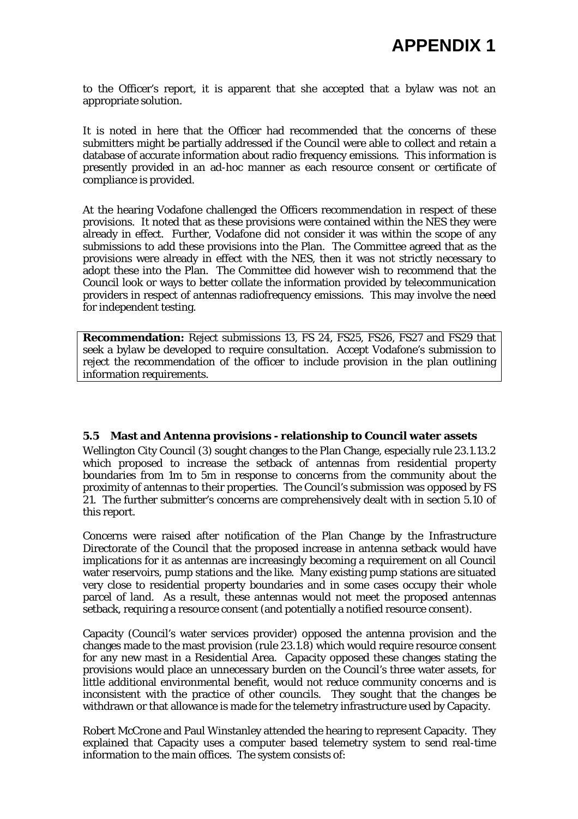to the Officer's report, it is apparent that she accepted that a bylaw was not an appropriate solution.

It is noted in here that the Officer had recommended that the concerns of these submitters might be partially addressed if the Council were able to collect and retain a database of accurate information about radio frequency emissions. This information is presently provided in an ad-hoc manner as each resource consent or certificate of compliance is provided.

At the hearing Vodafone challenged the Officers recommendation in respect of these provisions. It noted that as these provisions were contained within the NES they were already in effect. Further, Vodafone did not consider it was within the scope of any submissions to add these provisions into the Plan. The Committee agreed that as the provisions were already in effect with the NES, then it was not strictly necessary to adopt these into the Plan. The Committee did however wish to recommend that the Council look or ways to better collate the information provided by telecommunication providers in respect of antennas radiofrequency emissions. This may involve the need for independent testing.

**Recommendation:** Reject submissions 13, FS 24, FS25, FS26, FS27 and FS29 that seek a bylaw be developed to require consultation. Accept Vodafone's submission to reject the recommendation of the officer to include provision in the plan outlining information requirements.

## **5.5 Mast and Antenna provisions - relationship to Council water assets**

Wellington City Council (3) sought changes to the Plan Change, especially rule 23.1.13.2 which proposed to increase the setback of antennas from residential property boundaries from 1m to 5m in response to concerns from the community about the proximity of antennas to their properties. The Council's submission was opposed by FS 21. The further submitter's concerns are comprehensively dealt with in section 5.10 of this report.

Concerns were raised after notification of the Plan Change by the Infrastructure Directorate of the Council that the proposed increase in antenna setback would have implications for it as antennas are increasingly becoming a requirement on all Council water reservoirs, pump stations and the like. Many existing pump stations are situated very close to residential property boundaries and in some cases occupy their whole parcel of land. As a result, these antennas would not meet the proposed antennas setback, requiring a resource consent (and potentially a notified resource consent).

Capacity (Council's water services provider) opposed the antenna provision and the changes made to the mast provision (rule  $23.1.8$ ) which would require resource consent for any new mast in a Residential Area. Capacity opposed these changes stating the provisions would place an unnecessary burden on the Council's three water assets, for little additional environmental benefit, would not reduce community concerns and is inconsistent with the practice of other councils. They sought that the changes be withdrawn or that allowance is made for the telemetry infrastructure used by Capacity.

Robert McCrone and Paul Winstanley attended the hearing to represent Capacity. They explained that Capacity uses a computer based telemetry system to send real-time information to the main offices. The system consists of: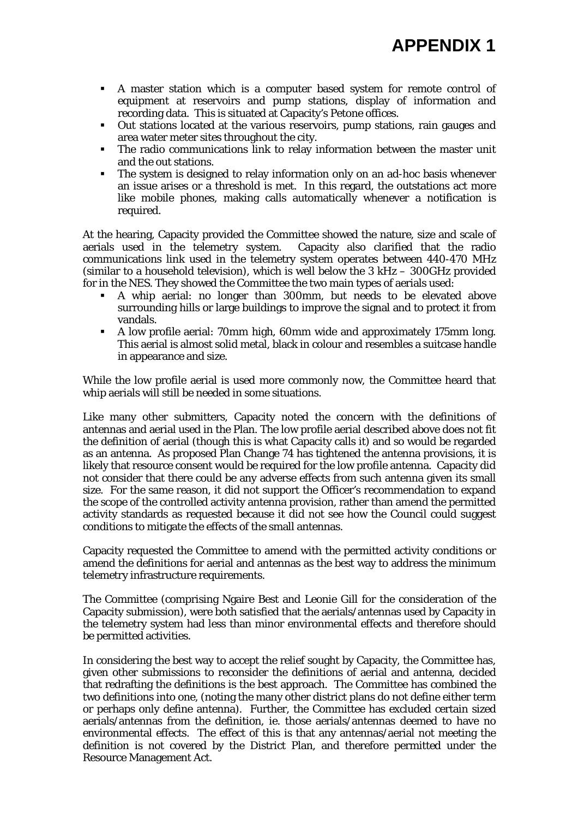- A master station which is a computer based system for remote control of equipment at reservoirs and pump stations, display of information and recording data. This is situated at Capacity's Petone offices.
- Out stations located at the various reservoirs, pump stations, rain gauges and area water meter sites throughout the city.
- The radio communications link to relay information between the master unit and the out stations.
- The system is designed to relay information only on an ad-hoc basis whenever an issue arises or a threshold is met. In this regard, the outstations act more like mobile phones, making calls automatically whenever a notification is required.

At the hearing, Capacity provided the Committee showed the nature, size and scale of aerials used in the telemetry system. Capacity also clarified that the radio communications link used in the telemetry system operates between 440-470 MHz (similar to a household television), which is well below the 3 kHz – 300GHz provided for in the NES. They showed the Committee the two main types of aerials used:

- A whip aerial: no longer than 300mm, but needs to be elevated above surrounding hills or large buildings to improve the signal and to protect it from vandals.
- A low profile aerial: 70mm high, 60mm wide and approximately 175mm long. This aerial is almost solid metal, black in colour and resembles a suitcase handle in appearance and size.

While the low profile aerial is used more commonly now, the Committee heard that whip aerials will still be needed in some situations.

Like many other submitters, Capacity noted the concern with the definitions of antennas and aerial used in the Plan. The low profile aerial described above does not fit the definition of aerial (though this is what Capacity calls it) and so would be regarded as an antenna. As proposed Plan Change 74 has tightened the antenna provisions, it is likely that resource consent would be required for the low profile antenna. Capacity did not consider that there could be any adverse effects from such antenna given its small size. For the same reason, it did not support the Officer's recommendation to expand the scope of the controlled activity antenna provision, rather than amend the permitted activity standards as requested because it did not see how the Council could suggest conditions to mitigate the effects of the small antennas.

Capacity requested the Committee to amend with the permitted activity conditions or amend the definitions for aerial and antennas as the best way to address the minimum telemetry infrastructure requirements.

The Committee (comprising Ngaire Best and Leonie Gill for the consideration of the Capacity submission), were both satisfied that the aerials/antennas used by Capacity in the telemetry system had less than minor environmental effects and therefore should be permitted activities.

In considering the best way to accept the relief sought by Capacity, the Committee has, given other submissions to reconsider the definitions of aerial and antenna, decided that redrafting the definitions is the best approach. The Committee has combined the two definitions into one, (noting the many other district plans do not define either term or perhaps only define antenna). Further, the Committee has excluded certain sized aerials/antennas from the definition, ie. those aerials/antennas deemed to have no environmental effects. The effect of this is that any antennas/aerial not meeting the definition is not covered by the District Plan, and therefore permitted under the Resource Management Act.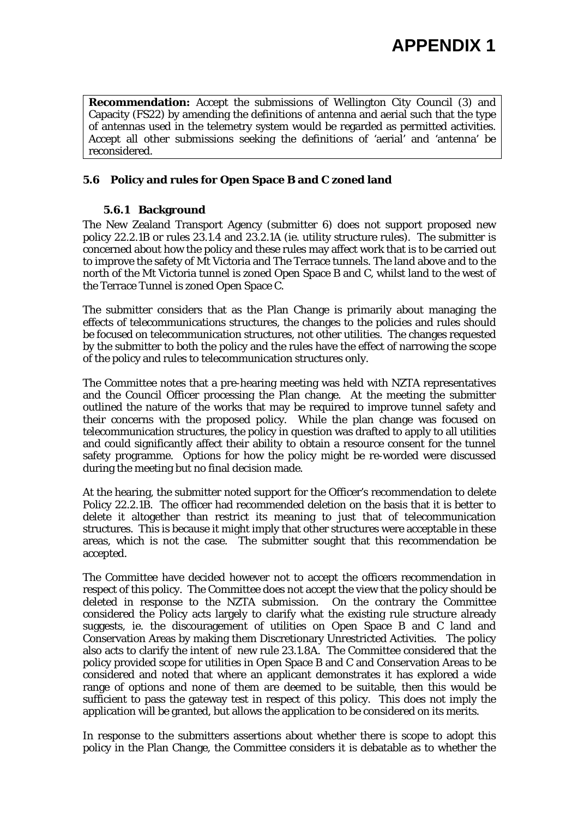**Recommendation:** Accept the submissions of Wellington City Council (3) and Capacity (FS22) by amending the definitions of antenna and aerial such that the type of antennas used in the telemetry system would be regarded as permitted activities. Accept all other submissions seeking the definitions of 'aerial' and 'antenna' be reconsidered.

## **5.6 Policy and rules for Open Space B and C zoned land**

#### **5.6.1 Background**

The New Zealand Transport Agency (submitter 6) does not support proposed new policy 22.2.1B or rules 23.1.4 and 23.2.1A (ie. utility structure rules). The submitter is concerned about how the policy and these rules may affect work that is to be carried out to improve the safety of Mt Victoria and The Terrace tunnels. The land above and to the north of the Mt Victoria tunnel is zoned Open Space B and C, whilst land to the west of the Terrace Tunnel is zoned Open Space C.

The submitter considers that as the Plan Change is primarily about managing the effects of telecommunications structures, the changes to the policies and rules should be focused on telecommunication structures, not other utilities. The changes requested by the submitter to both the policy and the rules have the effect of narrowing the scope of the policy and rules to telecommunication structures only.

The Committee notes that a pre-hearing meeting was held with NZTA representatives and the Council Officer processing the Plan change. At the meeting the submitter outlined the nature of the works that may be required to improve tunnel safety and their concerns with the proposed policy. While the plan change was focused on telecommunication structures, the policy in question was drafted to apply to all utilities and could significantly affect their ability to obtain a resource consent for the tunnel safety programme. Options for how the policy might be re-worded were discussed during the meeting but no final decision made.

At the hearing, the submitter noted support for the Officer's recommendation to delete Policy 22.2.1B. The officer had recommended deletion on the basis that it is better to delete it altogether than restrict its meaning to just that of telecommunication structures. This is because it might imply that other structures were acceptable in these areas, which is not the case. The submitter sought that this recommendation be accepted.

The Committee have decided however not to accept the officers recommendation in respect of this policy. The Committee does not accept the view that the policy should be deleted in response to the NZTA submission. On the contrary the Committee considered the Policy acts largely to clarify what the existing rule structure already suggests, ie. the discouragement of utilities on Open Space B and C land and Conservation Areas by making them Discretionary Unrestricted Activities. The policy also acts to clarify the intent of new rule 23.1.8A. The Committee considered that the policy provided scope for utilities in Open Space B and C and Conservation Areas to be considered and noted that where an applicant demonstrates it has explored a wide range of options and none of them are deemed to be suitable, then this would be sufficient to pass the gateway test in respect of this policy. This does not imply the application will be granted, but allows the application to be considered on its merits.

In response to the submitters assertions about whether there is scope to adopt this policy in the Plan Change, the Committee considers it is debatable as to whether the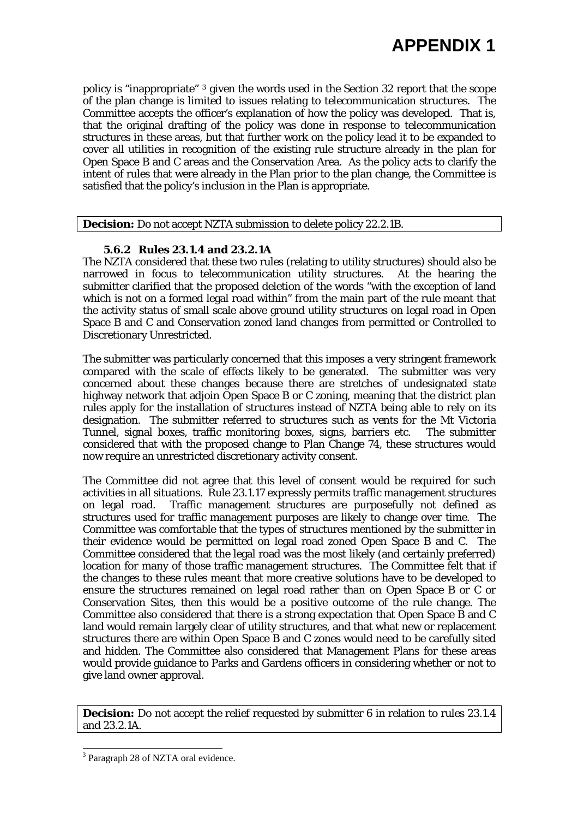policy is "inappropriate" [3](#page-13-0) given the words used in the Section 32 report that the scope of the plan change is limited to issues relating to telecommunication structures. The Committee accepts the officer's explanation of how the policy was developed. That is, that the original drafting of the policy was done in response to telecommunication structures in these areas, but that further work on the policy lead it to be expanded to cover all utilities in recognition of the existing rule structure already in the plan for Open Space B and C areas and the Conservation Area. As the policy acts to clarify the intent of rules that were already in the Plan prior to the plan change, the Committee is satisfied that the policy's inclusion in the Plan is appropriate.

**Decision:** Do not accept NZTA submission to delete policy 22.2.1B.

#### **5.6.2 Rules 23.1.4 and 23.2.1A**

The NZTA considered that these two rules (relating to utility structures) should also be narrowed in focus to telecommunication utility structures. At the hearing the submitter clarified that the proposed deletion of the words "with the exception of land which is not on a formed legal road within" from the main part of the rule meant that the activity status of small scale above ground utility structures on legal road in Open Space B and C and Conservation zoned land changes from permitted or Controlled to Discretionary Unrestricted.

The submitter was particularly concerned that this imposes a very stringent framework compared with the scale of effects likely to be generated. The submitter was very concerned about these changes because there are stretches of undesignated state highway network that adjoin Open Space B or C zoning, meaning that the district plan rules apply for the installation of structures instead of NZTA being able to rely on its designation. The submitter referred to structures such as vents for the Mt Victoria Tunnel, signal boxes, traffic monitoring boxes, signs, barriers etc. The submitter considered that with the proposed change to Plan Change 74, these structures would now require an unrestricted discretionary activity consent.

The Committee did not agree that this level of consent would be required for such activities in all situations. Rule 23.1.17 expressly permits traffic management structures on legal road. Traffic management structures are purposefully not defined as structures used for traffic management purposes are likely to change over time. The Committee was comfortable that the types of structures mentioned by the submitter in their evidence would be permitted on legal road zoned Open Space B and C. The Committee considered that the legal road was the most likely (and certainly preferred) location for many of those traffic management structures. The Committee felt that if the changes to these rules meant that more creative solutions have to be developed to ensure the structures remained on legal road rather than on Open Space B or C or Conservation Sites, then this would be a positive outcome of the rule change. The Committee also considered that there is a strong expectation that Open Space B and C land would remain largely clear of utility structures, and that what new or replacement structures there are within Open Space B and C zones would need to be carefully sited and hidden. The Committee also considered that Management Plans for these areas would provide guidance to Parks and Gardens officers in considering whether or not to give land owner approval.

**Decision:** Do not accept the relief requested by submitter 6 in relation to rules 23.1.4 and 23.2.1A.

l

<span id="page-13-0"></span><sup>&</sup>lt;sup>3</sup> Paragraph 28 of NZTA oral evidence.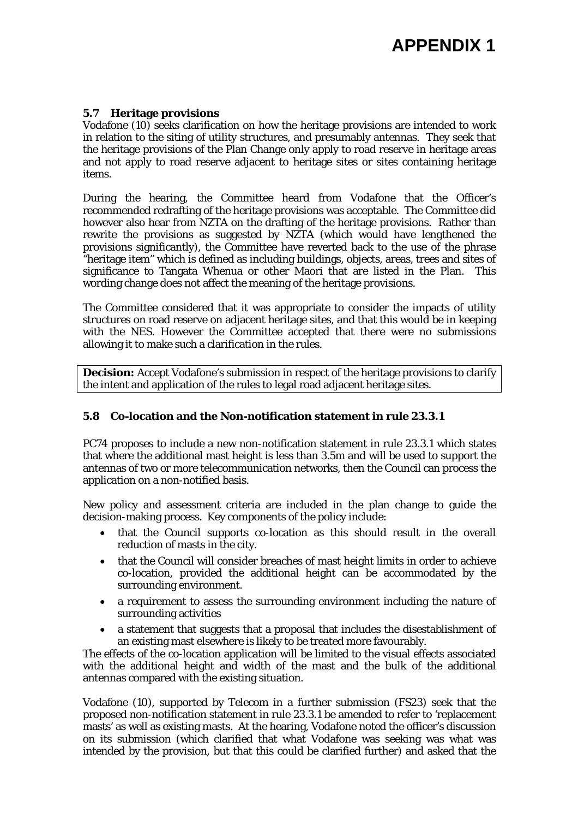#### **5.7 Heritage provisions**

Vodafone (10) seeks clarification on how the heritage provisions are intended to work in relation to the siting of utility structures, and presumably antennas. They seek that the heritage provisions of the Plan Change only apply to road reserve in heritage areas and not apply to road reserve adjacent to heritage sites or sites containing heritage items.

During the hearing, the Committee heard from Vodafone that the Officer's recommended redrafting of the heritage provisions was acceptable. The Committee did however also hear from NZTA on the drafting of the heritage provisions. Rather than rewrite the provisions as suggested by NZTA (which would have lengthened the provisions significantly), the Committee have reverted back to the use of the phrase "heritage item" which is defined as including buildings, objects, areas, trees and sites of significance to Tangata Whenua or other Maori that are listed in the Plan. This wording change does not affect the meaning of the heritage provisions.

The Committee considered that it was appropriate to consider the impacts of utility structures on road reserve on adjacent heritage sites, and that this would be in keeping with the NES. However the Committee accepted that there were no submissions allowing it to make such a clarification in the rules.

**Decision:** Accept Vodafone's submission in respect of the heritage provisions to clarify the intent and application of the rules to legal road adjacent heritage sites.

## **5.8 Co-location and the Non-notification statement in rule 23.3.1**

PC74 proposes to include a new non-notification statement in rule 23.3.1 which states that where the additional mast height is less than 3.5m and will be used to support the antennas of two or more telecommunication networks, then the Council can process the application on a non-notified basis.

New policy and assessment criteria are included in the plan change to guide the decision-making process. Key components of the policy include:

- that the Council supports co-location as this should result in the overall reduction of masts in the city.
- that the Council will consider breaches of mast height limits in order to achieve co-location, provided the additional height can be accommodated by the surrounding environment.
- a requirement to assess the surrounding environment including the nature of surrounding activities
- a statement that suggests that a proposal that includes the disestablishment of an existing mast elsewhere is likely to be treated more favourably.

The effects of the co-location application will be limited to the visual effects associated with the additional height and width of the mast and the bulk of the additional antennas compared with the existing situation.

Vodafone (10), supported by Telecom in a further submission (FS23) seek that the proposed non-notification statement in rule 23.3.1 be amended to refer to 'replacement masts' as well as existing masts. At the hearing, Vodafone noted the officer's discussion on its submission (which clarified that what Vodafone was seeking was what was intended by the provision, but that this could be clarified further) and asked that the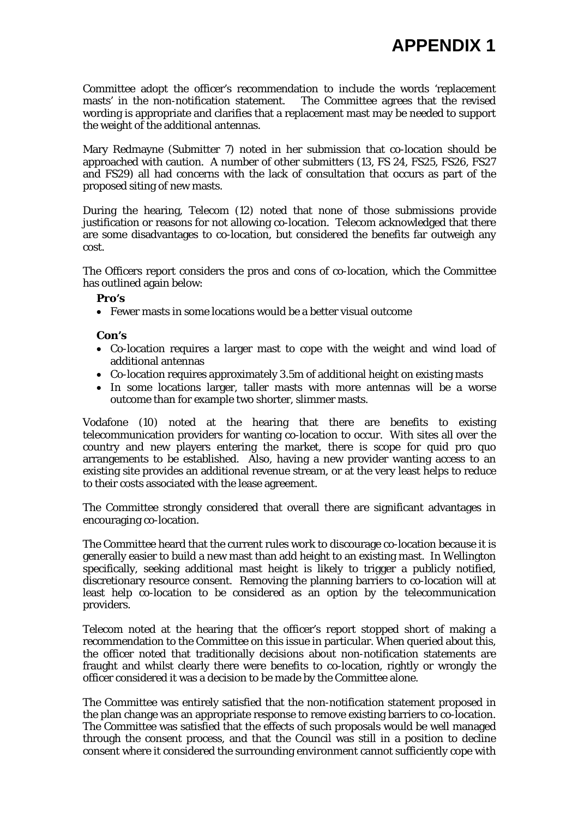Committee adopt the officer's recommendation to include the words 'replacement masts' in the non-notification statement. The Committee agrees that the revised wording is appropriate and clarifies that a replacement mast may be needed to support the weight of the additional antennas.

Mary Redmayne (Submitter 7) noted in her submission that co-location should be approached with caution. A number of other submitters (13, FS 24, FS25, FS26, FS27 and FS29) all had concerns with the lack of consultation that occurs as part of the proposed siting of new masts.

During the hearing, Telecom (12) noted that none of those submissions provide justification or reasons for not allowing co-location. Telecom acknowledged that there are some disadvantages to co-location, but considered the benefits far outweigh any cost.

The Officers report considers the pros and cons of co-location, which the Committee has outlined again below:

**Pro's** 

• Fewer masts in some locations would be a better visual outcome

#### **Con's**

- Co-location requires a larger mast to cope with the weight and wind load of additional antennas
- Co-location requires approximately 3.5m of additional height on existing masts
- In some locations larger, taller masts with more antennas will be a worse outcome than for example two shorter, slimmer masts.

Vodafone (10) noted at the hearing that there are benefits to existing telecommunication providers for wanting co-location to occur. With sites all over the country and new players entering the market, there is scope for quid pro quo arrangements to be established. Also, having a new provider wanting access to an existing site provides an additional revenue stream, or at the very least helps to reduce to their costs associated with the lease agreement.

The Committee strongly considered that overall there are significant advantages in encouraging co-location.

The Committee heard that the current rules work to discourage co-location because it is generally easier to build a new mast than add height to an existing mast. In Wellington specifically, seeking additional mast height is likely to trigger a publicly notified, discretionary resource consent. Removing the planning barriers to co-location will at least help co-location to be considered as an option by the telecommunication providers.

Telecom noted at the hearing that the officer's report stopped short of making a recommendation to the Committee on this issue in particular. When queried about this, the officer noted that traditionally decisions about non-notification statements are fraught and whilst clearly there were benefits to co-location, rightly or wrongly the officer considered it was a decision to be made by the Committee alone.

The Committee was entirely satisfied that the non-notification statement proposed in the plan change was an appropriate response to remove existing barriers to co-location. The Committee was satisfied that the effects of such proposals would be well managed through the consent process, and that the Council was still in a position to decline consent where it considered the surrounding environment cannot sufficiently cope with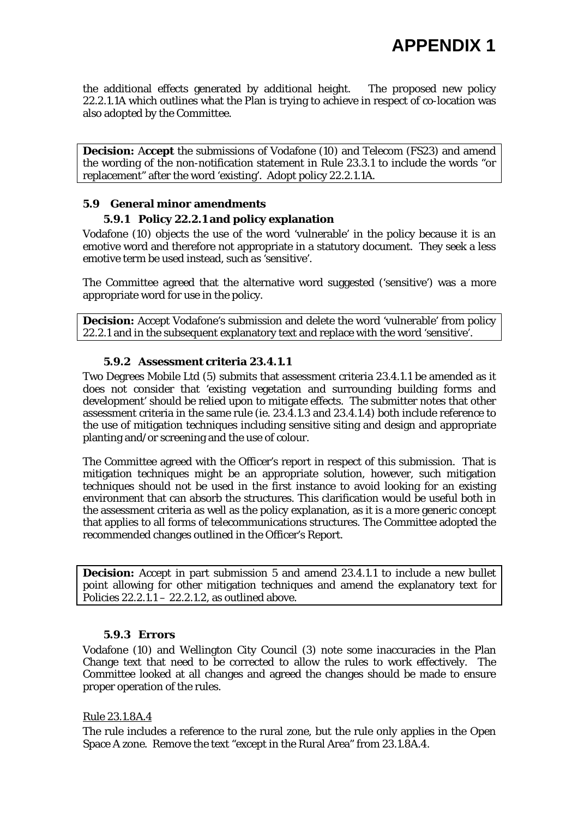the additional effects generated by additional height. The proposed new policy 22.2.1.1A which outlines what the Plan is trying to achieve in respect of co-location was also adopted by the Committee.

**Decision:** A**ccept** the submissions of Vodafone (10) and Telecom (FS23) and amend the wording of the non-notification statement in Rule 23.3.1 to include the words "or replacement" after the word 'existing'. Adopt policy 22.2.1.1A.

#### **5.9 General minor amendments**

#### **5.9.1 Policy 22.2.1 and policy explanation**

Vodafone (10) objects the use of the word 'vulnerable' in the policy because it is an emotive word and therefore not appropriate in a statutory document. They seek a less emotive term be used instead, such as 'sensitive'.

The Committee agreed that the alternative word suggested ('sensitive') was a more appropriate word for use in the policy.

**Decision:** Accept Vodafone's submission and delete the word 'vulnerable' from policy 22.2.1 and in the subsequent explanatory text and replace with the word 'sensitive'.

#### **5.9.2 Assessment criteria 23.4.1.1**

Two Degrees Mobile Ltd (5) submits that assessment criteria 23.4.1.1 be amended as it does not consider that 'existing vegetation and surrounding building forms and development' should be relied upon to mitigate effects. The submitter notes that other assessment criteria in the same rule (ie. 23.4.1.3 and 23.4.1.4) both include reference to the use of mitigation techniques including sensitive siting and design and appropriate planting and/or screening and the use of colour.

The Committee agreed with the Officer's report in respect of this submission. That is mitigation techniques might be an appropriate solution, however, such mitigation techniques should not be used in the first instance to avoid looking for an existing environment that can absorb the structures. This clarification would be useful both in the assessment criteria as well as the policy explanation, as it is a more generic concept that applies to all forms of telecommunications structures. The Committee adopted the recommended changes outlined in the Officer's Report.

**Decision:** Accept in part submission 5 and amend 23.4.1.1 to include a new bullet point allowing for other mitigation techniques and amend the explanatory text for Policies  $22.2.1.1 - 22.2.1.2$ , as outlined above.

#### **5.9.3 Errors**

Vodafone (10) and Wellington City Council (3) note some inaccuracies in the Plan Change text that need to be corrected to allow the rules to work effectively. The Committee looked at all changes and agreed the changes should be made to ensure proper operation of the rules.

#### Rule 23.1.8A.4

The rule includes a reference to the rural zone, but the rule only applies in the Open Space A zone. Remove the text "except in the Rural Area" from 23.1.8A.4.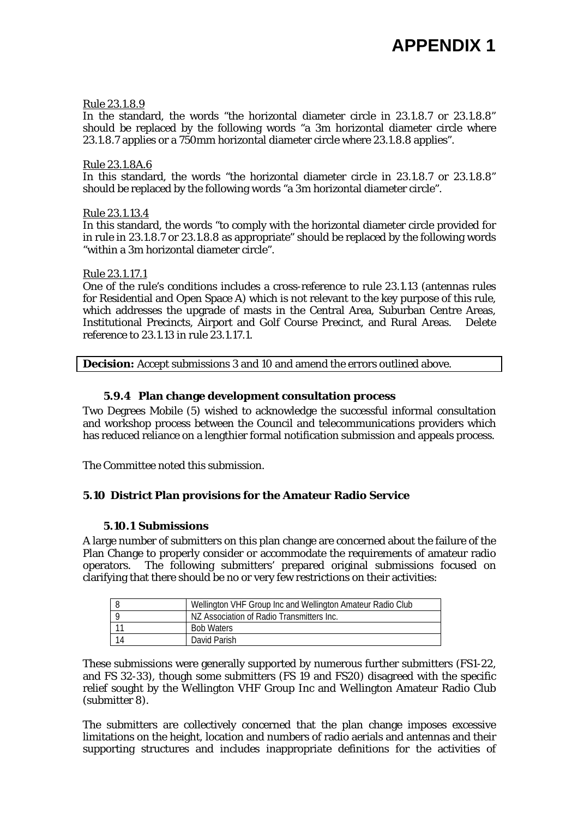#### Rule 23.1.8.9

In the standard, the words "the horizontal diameter circle in 23.1.8.7 or 23.1.8.8" should be replaced by the following words "a 3m horizontal diameter circle where 23.1.8.7 applies or a 750mm horizontal diameter circle where 23.1.8.8 applies".

#### Rule 23.1.8A.6

In this standard, the words "the horizontal diameter circle in 23.1.8.7 or 23.1.8.8" should be replaced by the following words "a 3m horizontal diameter circle".

#### Rule 23.1.13.4

In this standard, the words "to comply with the horizontal diameter circle provided for in rule in 23.1.8.7 or 23.1.8.8 as appropriate" should be replaced by the following words "within a 3m horizontal diameter circle".

#### Rule 23.1.17.1

One of the rule's conditions includes a cross-reference to rule 23.1.13 (antennas rules for Residential and Open Space A) which is not relevant to the key purpose of this rule, which addresses the upgrade of masts in the Central Area, Suburban Centre Areas, Institutional Precincts, Airport and Golf Course Precinct, and Rural Areas. Delete reference to 23.1.13 in rule 23.1.17.1.

**Decision:** Accept submissions 3 and 10 and amend the errors outlined above.

#### **5.9.4 Plan change development consultation process**

Two Degrees Mobile (5) wished to acknowledge the successful informal consultation and workshop process between the Council and telecommunications providers which has reduced reliance on a lengthier formal notification submission and appeals process.

The Committee noted this submission.

## **5.10 District Plan provisions for the Amateur Radio Service**

## **5.10.1 Submissions**

A large number of submitters on this plan change are concerned about the failure of the Plan Change to properly consider or accommodate the requirements of amateur radio operators. The following submitters' prepared original submissions focused on clarifying that there should be no or very few restrictions on their activities:

| Wellington VHF Group Inc and Wellington Amateur Radio Club |
|------------------------------------------------------------|
| NZ Association of Radio Transmitters Inc.                  |
| <b>Bob Waters</b>                                          |
| David Parish                                               |

These submissions were generally supported by numerous further submitters (FS1-22, and FS 32-33), though some submitters (FS 19 and FS20) disagreed with the specific relief sought by the Wellington VHF Group Inc and Wellington Amateur Radio Club (submitter 8).

The submitters are collectively concerned that the plan change imposes excessive limitations on the height, location and numbers of radio aerials and antennas and their supporting structures and includes inappropriate definitions for the activities of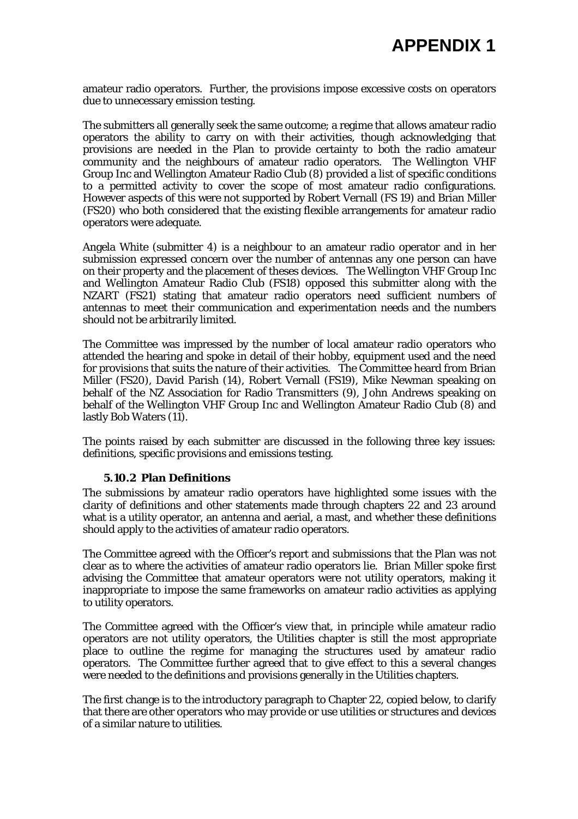amateur radio operators. Further, the provisions impose excessive costs on operators due to unnecessary emission testing.

The submitters all generally seek the same outcome; a regime that allows amateur radio operators the ability to carry on with their activities, though acknowledging that provisions are needed in the Plan to provide certainty to both the radio amateur community and the neighbours of amateur radio operators. The Wellington VHF Group Inc and Wellington Amateur Radio Club (8) provided a list of specific conditions to a permitted activity to cover the scope of most amateur radio configurations. However aspects of this were not supported by Robert Vernall (FS 19) and Brian Miller (FS20) who both considered that the existing flexible arrangements for amateur radio operators were adequate.

Angela White (submitter 4) is a neighbour to an amateur radio operator and in her submission expressed concern over the number of antennas any one person can have on their property and the placement of theses devices. The Wellington VHF Group Inc and Wellington Amateur Radio Club (FS18) opposed this submitter along with the NZART (FS21) stating that amateur radio operators need sufficient numbers of antennas to meet their communication and experimentation needs and the numbers should not be arbitrarily limited.

The Committee was impressed by the number of local amateur radio operators who attended the hearing and spoke in detail of their hobby, equipment used and the need for provisions that suits the nature of their activities. The Committee heard from Brian Miller (FS20), David Parish (14), Robert Vernall (FS19), Mike Newman speaking on behalf of the NZ Association for Radio Transmitters (9), John Andrews speaking on behalf of the Wellington VHF Group Inc and Wellington Amateur Radio Club (8) and lastly Bob Waters (11).

The points raised by each submitter are discussed in the following three key issues: definitions, specific provisions and emissions testing.

#### **5.10.2 Plan Definitions**

The submissions by amateur radio operators have highlighted some issues with the clarity of definitions and other statements made through chapters 22 and 23 around what is a utility operator, an antenna and aerial, a mast, and whether these definitions should apply to the activities of amateur radio operators.

The Committee agreed with the Officer's report and submissions that the Plan was not clear as to where the activities of amateur radio operators lie. Brian Miller spoke first advising the Committee that amateur operators were not utility operators, making it inappropriate to impose the same frameworks on amateur radio activities as applying to utility operators.

The Committee agreed with the Officer's view that, in principle while amateur radio operators are not utility operators, the Utilities chapter is still the most appropriate place to outline the regime for managing the structures used by amateur radio operators. The Committee further agreed that to give effect to this a several changes were needed to the definitions and provisions generally in the Utilities chapters.

The first change is to the introductory paragraph to Chapter 22, copied below, to clarify that there are other operators who may provide or use utilities or structures and devices of a similar nature to utilities.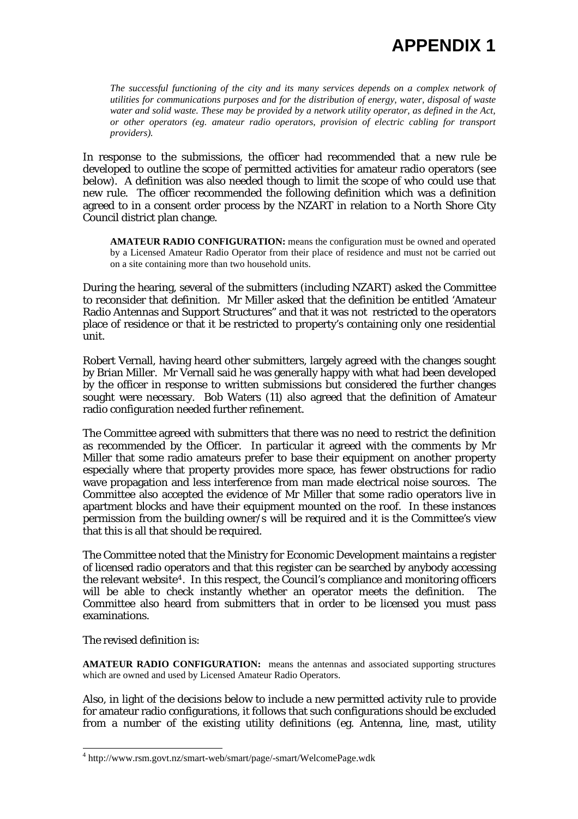*The successful functioning of the city and its many services depends on a complex network of utilities for communications purposes and for the distribution of energy, water, disposal of waste water and solid waste. These may be provided by a network utility operator, as defined in the Act, or other operators (eg. amateur radio operators, provision of electric cabling for transport providers).* 

In response to the submissions, the officer had recommended that a new rule be developed to outline the scope of permitted activities for amateur radio operators (see below). A definition was also needed though to limit the scope of who could use that new rule. The officer recommended the following definition which was a definition agreed to in a consent order process by the NZART in relation to a North Shore City Council district plan change.

**AMATEUR RADIO CONFIGURATION:** means the configuration must be owned and operated by a Licensed Amateur Radio Operator from their place of residence and must not be carried out on a site containing more than two household units.

During the hearing, several of the submitters (including NZART) asked the Committee to reconsider that definition. Mr Miller asked that the definition be entitled 'Amateur Radio Antennas and Support Structures" and that it was not restricted to the operators place of residence or that it be restricted to property's containing only one residential unit.

Robert Vernall, having heard other submitters, largely agreed with the changes sought by Brian Miller. Mr Vernall said he was generally happy with what had been developed by the officer in response to written submissions but considered the further changes sought were necessary. Bob Waters (11) also agreed that the definition of Amateur radio configuration needed further refinement.

The Committee agreed with submitters that there was no need to restrict the definition as recommended by the Officer. In particular it agreed with the comments by Mr Miller that some radio amateurs prefer to base their equipment on another property especially where that property provides more space, has fewer obstructions for radio wave propagation and less interference from man made electrical noise sources. The Committee also accepted the evidence of Mr Miller that some radio operators live in apartment blocks and have their equipment mounted on the roof. In these instances permission from the building owner/s will be required and it is the Committee's view that this is all that should be required.

The Committee noted that the Ministry for Economic Development maintains a register of licensed radio operators and that this register can be searched by anybody accessing the relevant website<sup>[4](#page-19-0)</sup>. In this respect, the Council's compliance and monitoring officers will be able to check instantly whether an operator meets the definition. The Committee also heard from submitters that in order to be licensed you must pass examinations.

The revised definition is:

l

**AMATEUR RADIO CONFIGURATION:** means the antennas and associated supporting structures which are owned and used by Licensed Amateur Radio Operators.

Also, in light of the decisions below to include a new permitted activity rule to provide for amateur radio configurations, it follows that such configurations should be excluded from a number of the existing utility definitions (eg. Antenna, line, mast, utility

<span id="page-19-0"></span><sup>4</sup> http://www.rsm.govt.nz/smart-web/smart/page/-smart/WelcomePage.wdk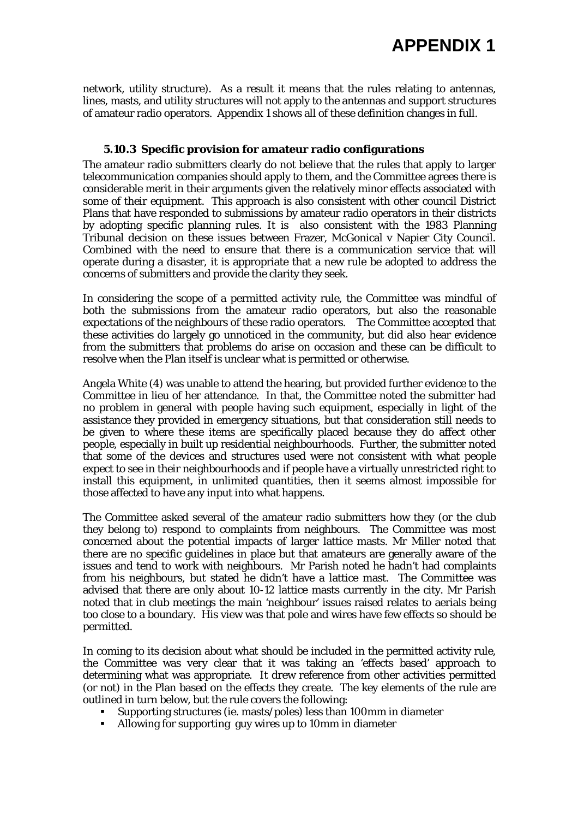network, utility structure). As a result it means that the rules relating to antennas, lines, masts, and utility structures will not apply to the antennas and support structures of amateur radio operators. Appendix 1 shows all of these definition changes in full.

#### **5.10.3 Specific provision for amateur radio configurations**

The amateur radio submitters clearly do not believe that the rules that apply to larger telecommunication companies should apply to them, and the Committee agrees there is considerable merit in their arguments given the relatively minor effects associated with some of their equipment. This approach is also consistent with other council District Plans that have responded to submissions by amateur radio operators in their districts by adopting specific planning rules. It is also consistent with the 1983 Planning Tribunal decision on these issues between Frazer, McGonical v Napier City Council. Combined with the need to ensure that there is a communication service that will operate during a disaster, it is appropriate that a new rule be adopted to address the concerns of submitters and provide the clarity they seek.

In considering the scope of a permitted activity rule, the Committee was mindful of both the submissions from the amateur radio operators, but also the reasonable expectations of the neighbours of these radio operators. The Committee accepted that these activities do largely go unnoticed in the community, but did also hear evidence from the submitters that problems do arise on occasion and these can be difficult to resolve when the Plan itself is unclear what is permitted or otherwise.

Angela White (4) was unable to attend the hearing, but provided further evidence to the Committee in lieu of her attendance. In that, the Committee noted the submitter had no problem in general with people having such equipment, especially in light of the assistance they provided in emergency situations, but that consideration still needs to be given to where these items are specifically placed because they do affect other people, especially in built up residential neighbourhoods. Further, the submitter noted that some of the devices and structures used were not consistent with what people expect to see in their neighbourhoods and if people have a virtually unrestricted right to install this equipment, in unlimited quantities, then it seems almost impossible for those affected to have any input into what happens.

The Committee asked several of the amateur radio submitters how they (or the club they belong to) respond to complaints from neighbours. The Committee was most concerned about the potential impacts of larger lattice masts. Mr Miller noted that there are no specific guidelines in place but that amateurs are generally aware of the issues and tend to work with neighbours. Mr Parish noted he hadn't had complaints from his neighbours, but stated he didn't have a lattice mast. The Committee was advised that there are only about 10-12 lattice masts currently in the city. Mr Parish noted that in club meetings the main 'neighbour' issues raised relates to aerials being too close to a boundary. His view was that pole and wires have few effects so should be permitted.

In coming to its decision about what should be included in the permitted activity rule, the Committee was very clear that it was taking an 'effects based' approach to determining what was appropriate. It drew reference from other activities permitted (or not) in the Plan based on the effects they create. The key elements of the rule are outlined in turn below, but the rule covers the following:

- Supporting structures (ie. masts/poles) less than 100mm in diameter
- Allowing for supporting guy wires up to 10mm in diameter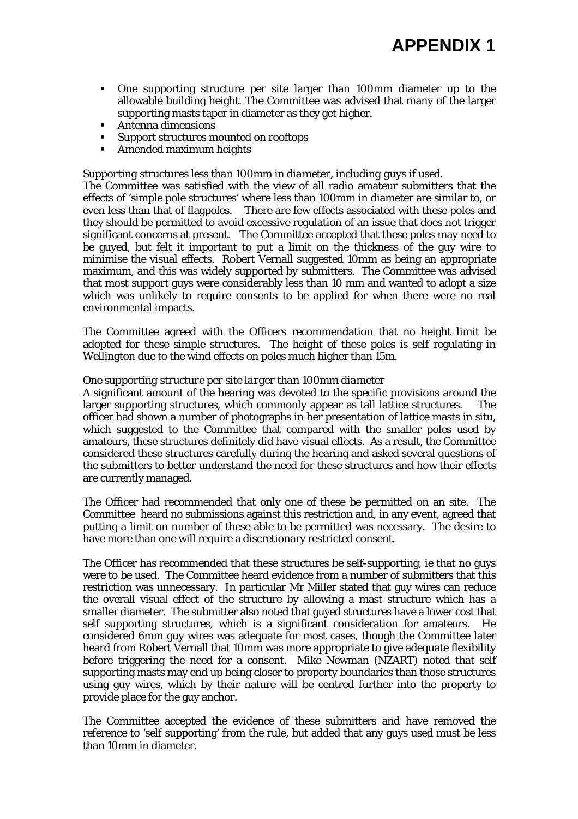- One supporting structure per site larger than 100mm diameter up to the allowable building height. The Committee was advised that many of the larger supporting masts taper in diameter as they get higher.
- Antenna dimensions
- Support structures mounted on rooftops
- Amended maximum heights

#### *Supporting structures less than 100mm in diameter, including guys if used.*

The Committee was satisfied with the view of all radio amateur submitters that the effects of 'simple pole structures' where less than 100mm in diameter are similar to, or even less than that of flagpoles. There are few effects associated with these poles and they should be permitted to avoid excessive regulation of an issue that does not trigger significant concerns at present. The Committee accepted that these poles may need to be guyed, but felt it important to put a limit on the thickness of the guy wire to minimise the visual effects. Robert Vernall suggested 10mm as being an appropriate maximum, and this was widely supported by submitters. The Committee was advised that most support guys were considerably less than 10 mm and wanted to adopt a size which was unlikely to require consents to be applied for when there were no real environmental impacts.

The Committee agreed with the Officers recommendation that no height limit be adopted for these simple structures. The height of these poles is self regulating in Wellington due to the wind effects on poles much higher than 15m.

#### *One supporting structure per site larger than 100mm diameter*

A significant amount of the hearing was devoted to the specific provisions around the larger supporting structures, which commonly appear as tall lattice structures. The officer had shown a number of photographs in her presentation of lattice masts in situ, which suggested to the Committee that compared with the smaller poles used by amateurs, these structures definitely did have visual effects. As a result, the Committee considered these structures carefully during the hearing and asked several questions of the submitters to better understand the need for these structures and how their effects are currently managed.

The Officer had recommended that only one of these be permitted on an site. The Committee heard no submissions against this restriction and, in any event, agreed that putting a limit on number of these able to be permitted was necessary. The desire to have more than one will require a discretionary restricted consent.

The Officer has recommended that these structures be self-supporting, ie that no guys were to be used. The Committee heard evidence from a number of submitters that this restriction was unnecessary. In particular Mr Miller stated that guy wires can reduce the overall visual effect of the structure by allowing a mast structure which has a smaller diameter. The submitter also noted that guyed structures have a lower cost that self supporting structures, which is a significant consideration for amateurs. He considered 6mm guy wires was adequate for most cases, though the Committee later heard from Robert Vernall that 10mm was more appropriate to give adequate flexibility before triggering the need for a consent. Mike Newman (NZART) noted that self supporting masts may end up being closer to property boundaries than those structures using guy wires, which by their nature will be centred further into the property to provide place for the guy anchor.

The Committee accepted the evidence of these submitters and have removed the reference to 'self supporting' from the rule, but added that any guys used must be less than 10mm in diameter.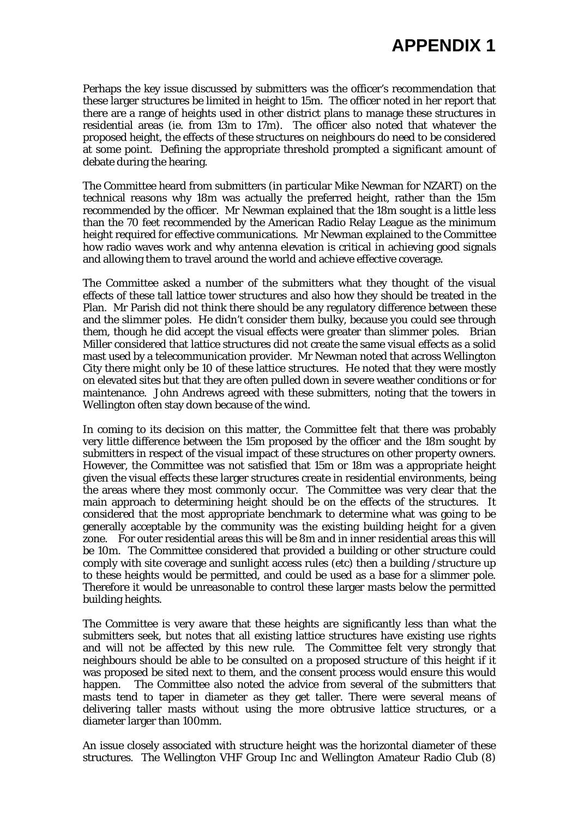Perhaps the key issue discussed by submitters was the officer's recommendation that these larger structures be limited in height to 15m. The officer noted in her report that there are a range of heights used in other district plans to manage these structures in residential areas (ie. from 13m to 17m). The officer also noted that whatever the proposed height, the effects of these structures on neighbours do need to be considered at some point. Defining the appropriate threshold prompted a significant amount of debate during the hearing.

The Committee heard from submitters (in particular Mike Newman for NZART) on the technical reasons why 18m was actually the preferred height, rather than the 15m recommended by the officer. Mr Newman explained that the 18m sought is a little less than the 70 feet recommended by the American Radio Relay League as the minimum height required for effective communications. Mr Newman explained to the Committee how radio waves work and why antenna elevation is critical in achieving good signals and allowing them to travel around the world and achieve effective coverage.

The Committee asked a number of the submitters what they thought of the visual effects of these tall lattice tower structures and also how they should be treated in the Plan. Mr Parish did not think there should be any regulatory difference between these and the slimmer poles. He didn't consider them bulky, because you could see through them, though he did accept the visual effects were greater than slimmer poles. Brian Miller considered that lattice structures did not create the same visual effects as a solid mast used by a telecommunication provider. Mr Newman noted that across Wellington City there might only be 10 of these lattice structures. He noted that they were mostly on elevated sites but that they are often pulled down in severe weather conditions or for maintenance. John Andrews agreed with these submitters, noting that the towers in Wellington often stay down because of the wind.

In coming to its decision on this matter, the Committee felt that there was probably very little difference between the 15m proposed by the officer and the 18m sought by submitters in respect of the visual impact of these structures on other property owners. However, the Committee was not satisfied that 15m or 18m was a appropriate height given the visual effects these larger structures create in residential environments, being the areas where they most commonly occur. The Committee was very clear that the main approach to determining height should be on the effects of the structures. It considered that the most appropriate benchmark to determine what was going to be generally acceptable by the community was the existing building height for a given zone. For outer residential areas this will be 8m and in inner residential areas this will be 10m. The Committee considered that provided a building or other structure could comply with site coverage and sunlight access rules (etc) then a building /structure up to these heights would be permitted, and could be used as a base for a slimmer pole. Therefore it would be unreasonable to control these larger masts below the permitted building heights.

The Committee is very aware that these heights are significantly less than what the submitters seek, but notes that all existing lattice structures have existing use rights and will not be affected by this new rule. The Committee felt very strongly that neighbours should be able to be consulted on a proposed structure of this height if it was proposed be sited next to them, and the consent process would ensure this would happen. The Committee also noted the advice from several of the submitters that masts tend to taper in diameter as they get taller. There were several means of delivering taller masts without using the more obtrusive lattice structures, or a diameter larger than 100mm.

An issue closely associated with structure height was the horizontal diameter of these structures. The Wellington VHF Group Inc and Wellington Amateur Radio Club (8)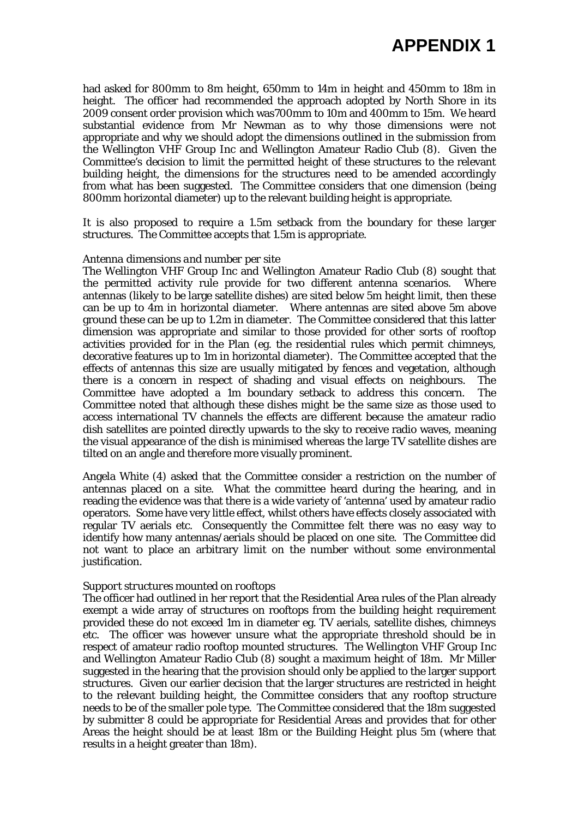had asked for 800mm to 8m height, 650mm to 14m in height and 450mm to 18m in height. The officer had recommended the approach adopted by North Shore in its 2009 consent order provision which was700mm to 10m and 400mm to 15m. We heard substantial evidence from Mr Newman as to why those dimensions were not appropriate and why we should adopt the dimensions outlined in the submission from the Wellington VHF Group Inc and Wellington Amateur Radio Club (8). Given the Committee's decision to limit the permitted height of these structures to the relevant building height, the dimensions for the structures need to be amended accordingly from what has been suggested. The Committee considers that one dimension (being 800mm horizontal diameter) up to the relevant building height is appropriate.

It is also proposed to require a 1.5m setback from the boundary for these larger structures. The Committee accepts that 1.5m is appropriate.

#### *Antenna dimensions and number per site*

The Wellington VHF Group Inc and Wellington Amateur Radio Club (8) sought that the permitted activity rule provide for two different antenna scenarios. Where antennas (likely to be large satellite dishes) are sited below 5m height limit, then these can be up to 4m in horizontal diameter. Where antennas are sited above 5m above ground these can be up to 1.2m in diameter. The Committee considered that this latter dimension was appropriate and similar to those provided for other sorts of rooftop activities provided for in the Plan (eg. the residential rules which permit chimneys, decorative features up to 1m in horizontal diameter). The Committee accepted that the effects of antennas this size are usually mitigated by fences and vegetation, although there is a concern in respect of shading and visual effects on neighbours. The Committee have adopted a 1m boundary setback to address this concern. The Committee noted that although these dishes might be the same size as those used to access international TV channels the effects are different because the amateur radio dish satellites are pointed directly upwards to the sky to receive radio waves, meaning the visual appearance of the dish is minimised whereas the large TV satellite dishes are tilted on an angle and therefore more visually prominent.

Angela White (4) asked that the Committee consider a restriction on the number of antennas placed on a site. What the committee heard during the hearing, and in reading the evidence was that there is a wide variety of 'antenna' used by amateur radio operators. Some have very little effect, whilst others have effects closely associated with regular TV aerials etc. Consequently the Committee felt there was no easy way to identify how many antennas/aerials should be placed on one site. The Committee did not want to place an arbitrary limit on the number without some environmental justification.

#### *Support structures mounted on rooftops*

The officer had outlined in her report that the Residential Area rules of the Plan already exempt a wide array of structures on rooftops from the building height requirement provided these do not exceed 1m in diameter eg. TV aerials, satellite dishes, chimneys etc. The officer was however unsure what the appropriate threshold should be in respect of amateur radio rooftop mounted structures. The Wellington VHF Group Inc and Wellington Amateur Radio Club (8) sought a maximum height of 18m. Mr Miller suggested in the hearing that the provision should only be applied to the larger support structures. Given our earlier decision that the larger structures are restricted in height to the relevant building height, the Committee considers that any rooftop structure needs to be of the smaller pole type. The Committee considered that the 18m suggested by submitter 8 could be appropriate for Residential Areas and provides that for other Areas the height should be at least 18m or the Building Height plus 5m (where that results in a height greater than 18m).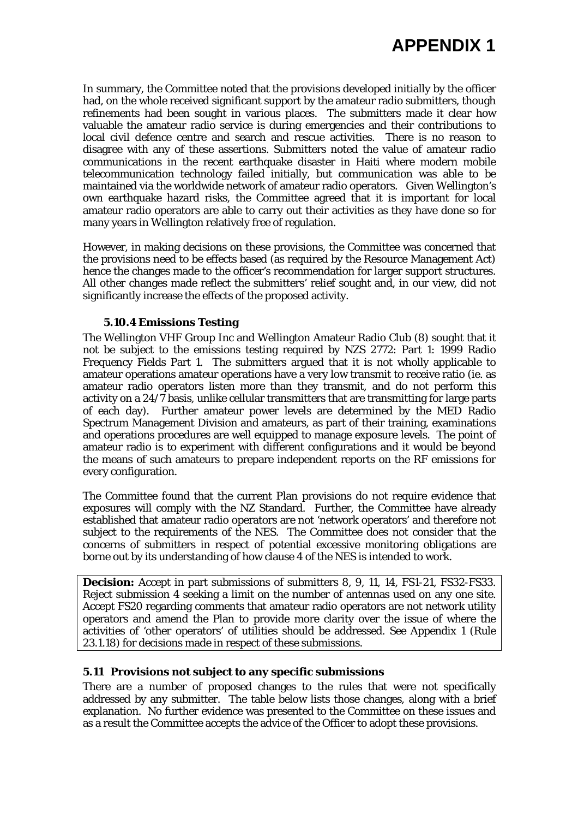In summary, the Committee noted that the provisions developed initially by the officer had, on the whole received significant support by the amateur radio submitters, though refinements had been sought in various places. The submitters made it clear how valuable the amateur radio service is during emergencies and their contributions to local civil defence centre and search and rescue activities. There is no reason to disagree with any of these assertions. Submitters noted the value of amateur radio communications in the recent earthquake disaster in Haiti where modern mobile telecommunication technology failed initially, but communication was able to be maintained via the worldwide network of amateur radio operators. Given Wellington's own earthquake hazard risks, the Committee agreed that it is important for local amateur radio operators are able to carry out their activities as they have done so for many years in Wellington relatively free of regulation.

However, in making decisions on these provisions, the Committee was concerned that the provisions need to be effects based (as required by the Resource Management Act) hence the changes made to the officer's recommendation for larger support structures. All other changes made reflect the submitters' relief sought and, in our view, did not significantly increase the effects of the proposed activity.

#### **5.10.4 Emissions Testing**

The Wellington VHF Group Inc and Wellington Amateur Radio Club (8) sought that it not be subject to the emissions testing required by NZS 2772: Part 1: 1999 Radio Frequency Fields Part 1. The submitters argued that it is not wholly applicable to amateur operations amateur operations have a very low transmit to receive ratio (ie. as amateur radio operators listen more than they transmit, and do not perform this activity on a 24/7 basis, unlike cellular transmitters that are transmitting for large parts of each day). Further amateur power levels are determined by the MED Radio Spectrum Management Division and amateurs, as part of their training, examinations and operations procedures are well equipped to manage exposure levels. The point of amateur radio is to experiment with different configurations and it would be beyond the means of such amateurs to prepare independent reports on the RF emissions for every configuration.

The Committee found that the current Plan provisions do not require evidence that exposures will comply with the NZ Standard. Further, the Committee have already established that amateur radio operators are not 'network operators' and therefore not subject to the requirements of the NES. The Committee does not consider that the concerns of submitters in respect of potential excessive monitoring obligations are borne out by its understanding of how clause 4 of the NES is intended to work.

**Decision:** Accept in part submissions of submitters 8, 9, 11, 14, FS1-21, FS32-FS33. Reject submission 4 seeking a limit on the number of antennas used on any one site. Accept FS20 regarding comments that amateur radio operators are not network utility operators and amend the Plan to provide more clarity over the issue of where the activities of 'other operators' of utilities should be addressed. See Appendix 1 (Rule 23.1.18) for decisions made in respect of these submissions.

#### **5.11 Provisions not subject to any specific submissions**

There are a number of proposed changes to the rules that were not specifically addressed by any submitter. The table below lists those changes, along with a brief explanation. No further evidence was presented to the Committee on these issues and as a result the Committee accepts the advice of the Officer to adopt these provisions.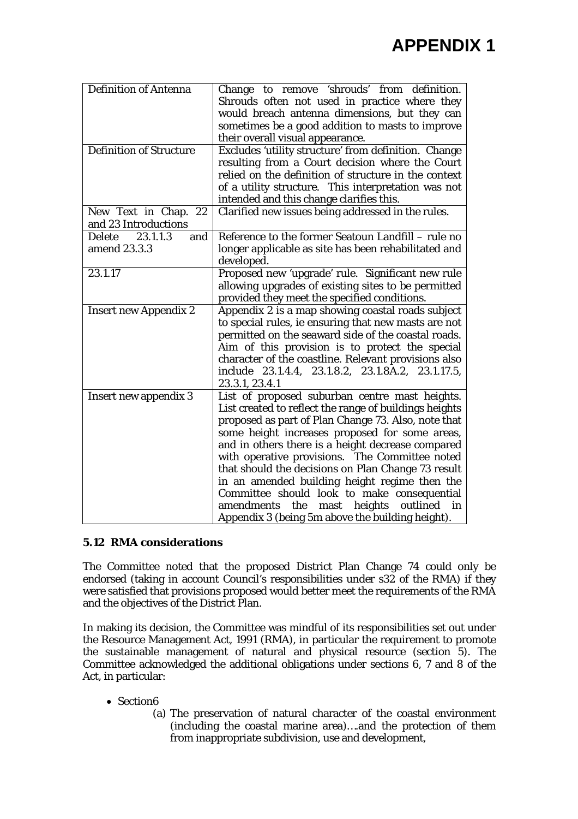| <b>Definition of Antenna</b>   | Change to remove 'shrouds' from definition.<br>Shrouds often not used in practice where they<br>would breach antenna dimensions, but they can<br>sometimes be a good addition to masts to improve<br>their overall visual appearance. |
|--------------------------------|---------------------------------------------------------------------------------------------------------------------------------------------------------------------------------------------------------------------------------------|
| <b>Definition of Structure</b> | Excludes 'utility structure' from definition. Change                                                                                                                                                                                  |
|                                | resulting from a Court decision where the Court                                                                                                                                                                                       |
|                                | relied on the definition of structure in the context                                                                                                                                                                                  |
|                                | of a utility structure. This interpretation was not                                                                                                                                                                                   |
|                                | intended and this change clarifies this.                                                                                                                                                                                              |
| New Text in Chap. 22           | Clarified new issues being addressed in the rules.                                                                                                                                                                                    |
| and 23 Introductions           |                                                                                                                                                                                                                                       |
| Delete<br>23.1.1.3<br>and      | Reference to the former Seatoun Landfill – rule no                                                                                                                                                                                    |
| amend 23.3.3                   | longer applicable as site has been rehabilitated and<br>developed.                                                                                                                                                                    |
| 23.1.17                        | Proposed new 'upgrade' rule. Significant new rule                                                                                                                                                                                     |
|                                | allowing upgrades of existing sites to be permitted<br>provided they meet the specified conditions.                                                                                                                                   |
| <b>Insert new Appendix 2</b>   | Appendix 2 is a map showing coastal roads subject                                                                                                                                                                                     |
|                                | to special rules, ie ensuring that new masts are not                                                                                                                                                                                  |
|                                | permitted on the seaward side of the coastal roads.                                                                                                                                                                                   |
|                                | Aim of this provision is to protect the special                                                                                                                                                                                       |
|                                | character of the coastline. Relevant provisions also<br>include 23.1.4.4, 23.1.8.2, 23.1.8A.2, 23.1.17.5,                                                                                                                             |
|                                | 23.3.1, 23.4.1                                                                                                                                                                                                                        |
| <b>Insert new appendix 3</b>   | List of proposed suburban centre mast heights.                                                                                                                                                                                        |
|                                | List created to reflect the range of buildings heights                                                                                                                                                                                |
|                                | proposed as part of Plan Change 73. Also, note that                                                                                                                                                                                   |
|                                | some height increases proposed for some areas,                                                                                                                                                                                        |
|                                | and in others there is a height decrease compared                                                                                                                                                                                     |
|                                | with operative provisions. The Committee noted                                                                                                                                                                                        |
|                                | that should the decisions on Plan Change 73 result                                                                                                                                                                                    |
|                                | in an amended building height regime then the                                                                                                                                                                                         |
|                                | Committee should look to make consequential                                                                                                                                                                                           |
|                                | the<br>mast<br>heights<br>outlined<br>amendments<br>in                                                                                                                                                                                |
|                                | Appendix 3 (being 5m above the building height).                                                                                                                                                                                      |

## **5.12 RMA considerations**

The Committee noted that the proposed District Plan Change 74 could only be endorsed (taking in account Council's responsibilities under s32 of the RMA) if they were satisfied that provisions proposed would better meet the requirements of the RMA and the objectives of the District Plan.

In making its decision, the Committee was mindful of its responsibilities set out under the Resource Management Act, 1991 (RMA), in particular the requirement to promote the sustainable management of natural and physical resource (section 5). The Committee acknowledged the additional obligations under sections 6, 7 and 8 of the Act, in particular:

- Section6
	- (a) The preservation of natural character of the coastal environment (including the coastal marine area)….and the protection of them from inappropriate subdivision, use and development,